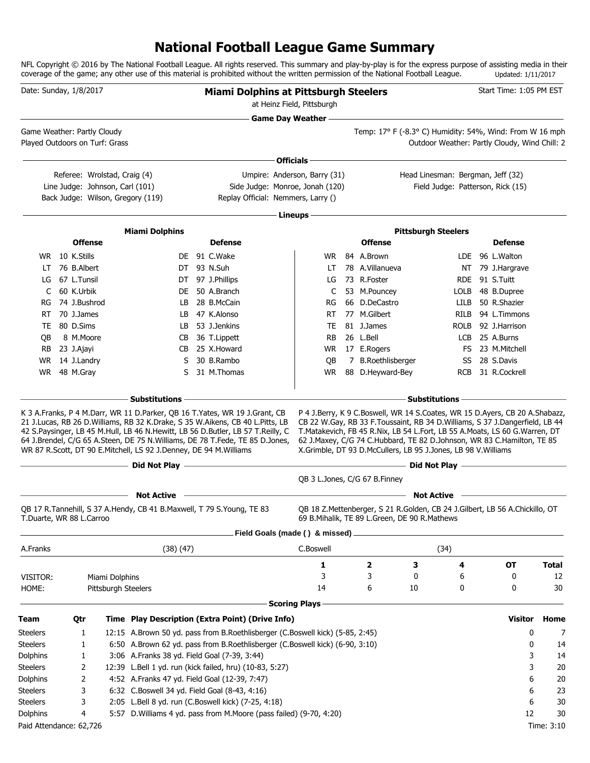## **National Football League Game Summary**

NFL Copyright © 2016 by The National Football League. All rights reserved. This summary and play-by-play is for the express purpose of assisting media in their coverage of the game; any other use of this material is prohibited without the written permission of the National Football League. Updated: 1/11/2017

| Date: Sunday, 1/8/2017                                        |                               |                                 |                                                                                     | <b>Miami Dolphins at Pittsburgh Steelers</b>                                                                                                                                                                                                                                                                                   | at Heinz Field, Pittsburgh       |                                                                                                                                                                                                                                                                                                                                                                                     |                                               |                  | Start Time: 1:05 PM EST |              |
|---------------------------------------------------------------|-------------------------------|---------------------------------|-------------------------------------------------------------------------------------|--------------------------------------------------------------------------------------------------------------------------------------------------------------------------------------------------------------------------------------------------------------------------------------------------------------------------------|----------------------------------|-------------------------------------------------------------------------------------------------------------------------------------------------------------------------------------------------------------------------------------------------------------------------------------------------------------------------------------------------------------------------------------|-----------------------------------------------|------------------|-------------------------|--------------|
| Game Weather: Partly Cloudy<br>Played Outdoors on Turf: Grass |                               |                                 |                                                                                     |                                                                                                                                                                                                                                                                                                                                | <b>Game Day Weather -</b>        | Temp: 17° F (-8.3° C) Humidity: 54%, Wind: From W 16 mph                                                                                                                                                                                                                                                                                                                            | Outdoor Weather: Partly Cloudy, Wind Chill: 2 |                  |                         |              |
|                                                               |                               |                                 |                                                                                     |                                                                                                                                                                                                                                                                                                                                | <b>Officials</b>                 |                                                                                                                                                                                                                                                                                                                                                                                     |                                               |                  |                         |              |
|                                                               |                               | Referee: Wrolstad, Craig (4)    |                                                                                     |                                                                                                                                                                                                                                                                                                                                | Umpire: Anderson, Barry (31)     |                                                                                                                                                                                                                                                                                                                                                                                     | Head Linesman: Bergman, Jeff (32)             |                  |                         |              |
|                                                               |                               | Line Judge: Johnson, Carl (101) | Back Judge: Wilson, Gregory (119)                                                   | Side Judge: Monroe, Jonah (120)<br>Replay Official: Nemmers, Larry ()                                                                                                                                                                                                                                                          |                                  |                                                                                                                                                                                                                                                                                                                                                                                     | Field Judge: Patterson, Rick (15)             |                  |                         |              |
|                                                               |                               |                                 |                                                                                     |                                                                                                                                                                                                                                                                                                                                | Lineups -                        |                                                                                                                                                                                                                                                                                                                                                                                     |                                               |                  |                         |              |
|                                                               |                               |                                 |                                                                                     |                                                                                                                                                                                                                                                                                                                                |                                  |                                                                                                                                                                                                                                                                                                                                                                                     |                                               |                  |                         |              |
|                                                               | <b>Offense</b>                |                                 | <b>Miami Dolphins</b>                                                               | <b>Defense</b>                                                                                                                                                                                                                                                                                                                 |                                  | <b>Offense</b>                                                                                                                                                                                                                                                                                                                                                                      | <b>Pittsburgh Steelers</b>                    |                  | <b>Defense</b>          |              |
|                                                               |                               |                                 |                                                                                     |                                                                                                                                                                                                                                                                                                                                |                                  |                                                                                                                                                                                                                                                                                                                                                                                     |                                               |                  |                         |              |
|                                                               | WR 10 K.Stills<br>76 B.Albert |                                 |                                                                                     | DE 91 C.Wake                                                                                                                                                                                                                                                                                                                   | WR.                              | 84 A.Brown<br>78 A.Villanueva                                                                                                                                                                                                                                                                                                                                                       |                                               | LDE 96 L. Walton |                         |              |
| LT<br>LG                                                      | 67 L.Tunsil                   |                                 |                                                                                     | DT 93 N.Suh<br>DT 97 J.Phillips                                                                                                                                                                                                                                                                                                | LT<br>LG                         | 73 R.Foster                                                                                                                                                                                                                                                                                                                                                                         | RDE.                                          | 91 S.Tuitt       | NT 79 J.Hargrave        |              |
| C                                                             | 60 K.Urbik                    |                                 | DE                                                                                  | 50 A.Branch                                                                                                                                                                                                                                                                                                                    | C                                | 53 M.Pouncey                                                                                                                                                                                                                                                                                                                                                                        | <b>LOLB</b>                                   |                  | 48 B.Dupree             |              |
| RG                                                            | 74 J.Bushrod                  |                                 | LB                                                                                  | 28 B.McCain                                                                                                                                                                                                                                                                                                                    | RG                               | 66 D.DeCastro                                                                                                                                                                                                                                                                                                                                                                       | LILB                                          |                  | 50 R.Shazier            |              |
| RT                                                            | 70 J.James                    |                                 | LB.                                                                                 | 47 K.Alonso                                                                                                                                                                                                                                                                                                                    | RT                               | 77 M.Gilbert                                                                                                                                                                                                                                                                                                                                                                        | RILB                                          |                  | 94 L.Timmons            |              |
| TE                                                            | 80 D.Sims                     |                                 | LB                                                                                  | 53 J.Jenkins                                                                                                                                                                                                                                                                                                                   | TE                               | 81 J.James                                                                                                                                                                                                                                                                                                                                                                          | <b>ROLB</b>                                   |                  | 92 J.Harrison           |              |
| QB                                                            | 8 M.Moore                     |                                 | CВ                                                                                  | 36 T.Lippett                                                                                                                                                                                                                                                                                                                   | <b>RB</b>                        | 26 L.Bell                                                                                                                                                                                                                                                                                                                                                                           | LCB                                           | 25 A.Burns       |                         |              |
| RB                                                            | 23 J.Ajayi                    |                                 | CB                                                                                  | 25 X.Howard                                                                                                                                                                                                                                                                                                                    | <b>WR</b>                        | 17 E.Rogers                                                                                                                                                                                                                                                                                                                                                                         | FS                                            |                  | 23 M.Mitchell           |              |
| WR.                                                           | 14 J.Landry                   |                                 | S                                                                                   | 30 B.Rambo                                                                                                                                                                                                                                                                                                                     | QB                               | 7 B.Roethlisberger                                                                                                                                                                                                                                                                                                                                                                  | SS                                            | 28 S.Davis       |                         |              |
| WR                                                            | 48 M.Gray                     |                                 | S                                                                                   | 31 M.Thomas                                                                                                                                                                                                                                                                                                                    | WR                               | 88 D.Heyward-Bey                                                                                                                                                                                                                                                                                                                                                                    | <b>RCB</b>                                    |                  | 31 R.Cockrell           |              |
|                                                               |                               |                                 | - Substitutions                                                                     |                                                                                                                                                                                                                                                                                                                                |                                  |                                                                                                                                                                                                                                                                                                                                                                                     | <b>Substitutions</b>                          |                  |                         |              |
|                                                               |                               |                                 | WR 87 R.Scott, DT 90 E.Mitchell, LS 92 J.Denney, DE 94 M.Williams<br>Did Not Play - | K 3 A.Franks, P 4 M.Darr, WR 11 D.Parker, QB 16 T.Yates, WR 19 J.Grant, CB<br>21 J.Lucas, RB 26 D.Williams, RB 32 K.Drake, S 35 W.Aikens, CB 40 L.Pitts, LB<br>42 S.Paysinger, LB 45 M.Hull, LB 46 N.Hewitt, LB 56 D.Butler, LB 57 T.Reilly, C<br>64 J.Brendel, C/G 65 A.Steen, DE 75 N.Williams, DE 78 T.Fede, TE 85 D.Jones, |                                  | P 4 J.Berry, K 9 C.Boswell, WR 14 S.Coates, WR 15 D.Ayers, CB 20 A.Shabazz,<br>CB 22 W.Gay, RB 33 F.Toussaint, RB 34 D.Williams, S 37 J.Dangerfield, LB 44<br>T.Matakevich, FB 45 R.Nix, LB 54 L.Fort, LB 55 A.Moats, LS 60 G.Warren, DT<br>62 J.Maxey, C/G 74 C.Hubbard, TE 82 D.Johnson, WR 83 C.Hamilton, TE 85<br>X.Grimble, DT 93 D.McCullers, LB 95 J.Jones, LB 98 V.Williams | $-$ Did Not Play $-$                          |                  |                         |              |
|                                                               |                               |                                 |                                                                                     |                                                                                                                                                                                                                                                                                                                                |                                  | QB 3 L.Jones, C/G 67 B.Finney                                                                                                                                                                                                                                                                                                                                                       |                                               |                  |                         |              |
|                                                               |                               |                                 | <b>Not Active</b>                                                                   |                                                                                                                                                                                                                                                                                                                                |                                  |                                                                                                                                                                                                                                                                                                                                                                                     | <b>Not Active</b>                             |                  |                         |              |
| T.Duarte, WR 88 L.Carroo                                      |                               |                                 |                                                                                     | QB 17 R.Tannehill, S 37 A.Hendy, CB 41 B.Maxwell, T 79 S.Young, TE 83                                                                                                                                                                                                                                                          |                                  | QB 18 Z.Mettenberger, S 21 R.Golden, CB 24 J.Gilbert, LB 56 A.Chickillo, OT<br>69 B.Mihalik, TE 89 L.Green, DE 90 R.Mathews                                                                                                                                                                                                                                                         |                                               |                  |                         |              |
|                                                               |                               |                                 |                                                                                     |                                                                                                                                                                                                                                                                                                                                | Field Goals (made () & missed) . |                                                                                                                                                                                                                                                                                                                                                                                     |                                               |                  |                         |              |
| A.Franks                                                      |                               |                                 | (38)(47)                                                                            |                                                                                                                                                                                                                                                                                                                                | C.Boswell                        |                                                                                                                                                                                                                                                                                                                                                                                     | (34)                                          |                  |                         |              |
|                                                               |                               |                                 |                                                                                     |                                                                                                                                                                                                                                                                                                                                | 1                                | $\mathbf{2}$<br>3                                                                                                                                                                                                                                                                                                                                                                   | 4                                             |                  | <b>OT</b>               | <b>Total</b> |
| VISITOR:                                                      |                               | Miami Dolphins                  |                                                                                     |                                                                                                                                                                                                                                                                                                                                | 3                                | 3<br>0                                                                                                                                                                                                                                                                                                                                                                              | 6                                             |                  | 0                       | 12           |
| HOME:                                                         |                               | Pittsburgh Steelers             |                                                                                     |                                                                                                                                                                                                                                                                                                                                | 14                               | 6<br>10                                                                                                                                                                                                                                                                                                                                                                             | 0                                             |                  | 0                       | 30           |
|                                                               |                               |                                 |                                                                                     |                                                                                                                                                                                                                                                                                                                                | <b>Scoring Plays</b>             |                                                                                                                                                                                                                                                                                                                                                                                     |                                               |                  |                         |              |
| Team                                                          | Qtr                           |                                 |                                                                                     | Time Play Description (Extra Point) (Drive Info)                                                                                                                                                                                                                                                                               |                                  |                                                                                                                                                                                                                                                                                                                                                                                     |                                               |                  | <b>Visitor</b>          | Home         |
| <b>Steelers</b>                                               | 1                             |                                 |                                                                                     | 12:15 A.Brown 50 yd. pass from B.Roethlisberger (C.Boswell kick) (5-85, 2:45)                                                                                                                                                                                                                                                  |                                  |                                                                                                                                                                                                                                                                                                                                                                                     |                                               |                  | 0                       | 7            |
| <b>Steelers</b>                                               | 1                             |                                 |                                                                                     | 6:50 A.Brown 62 yd. pass from B.Roethlisberger (C.Boswell kick) (6-90, 3:10)                                                                                                                                                                                                                                                   |                                  |                                                                                                                                                                                                                                                                                                                                                                                     |                                               |                  | 0                       | 14           |
| Dolphins                                                      | 1                             |                                 | 3:06 A.Franks 38 yd. Field Goal (7-39, 3:44)                                        |                                                                                                                                                                                                                                                                                                                                |                                  |                                                                                                                                                                                                                                                                                                                                                                                     |                                               |                  | 3                       | 14           |
| <b>Steelers</b>                                               | 2                             |                                 |                                                                                     | 12:39 L.Bell 1 yd. run (kick failed, hru) (10-83, 5:27)                                                                                                                                                                                                                                                                        |                                  |                                                                                                                                                                                                                                                                                                                                                                                     |                                               |                  | 3                       | 20           |
| Dolphins                                                      | 2                             |                                 | 4:52 A.Franks 47 yd. Field Goal (12-39, 7:47)                                       |                                                                                                                                                                                                                                                                                                                                |                                  |                                                                                                                                                                                                                                                                                                                                                                                     |                                               |                  | 6                       | 20           |
| <b>Steelers</b>                                               | 3                             |                                 | 6:32 C.Boswell 34 yd. Field Goal (8-43, 4:16)                                       |                                                                                                                                                                                                                                                                                                                                |                                  |                                                                                                                                                                                                                                                                                                                                                                                     |                                               |                  | 6                       | 23           |
| <b>Steelers</b>                                               | 3                             |                                 |                                                                                     | 2:05 L.Bell 8 yd. run (C.Boswell kick) (7-25, 4:18)                                                                                                                                                                                                                                                                            |                                  |                                                                                                                                                                                                                                                                                                                                                                                     |                                               |                  | 6                       | 30           |
| Dolphins                                                      | 4                             |                                 |                                                                                     | 5:57 D. Williams 4 yd. pass from M. Moore (pass failed) (9-70, 4:20)                                                                                                                                                                                                                                                           |                                  |                                                                                                                                                                                                                                                                                                                                                                                     |                                               |                  | 12                      | 30           |
| Paid Attendance: 62,726                                       |                               |                                 |                                                                                     |                                                                                                                                                                                                                                                                                                                                |                                  |                                                                                                                                                                                                                                                                                                                                                                                     |                                               |                  |                         | Time: 3:10   |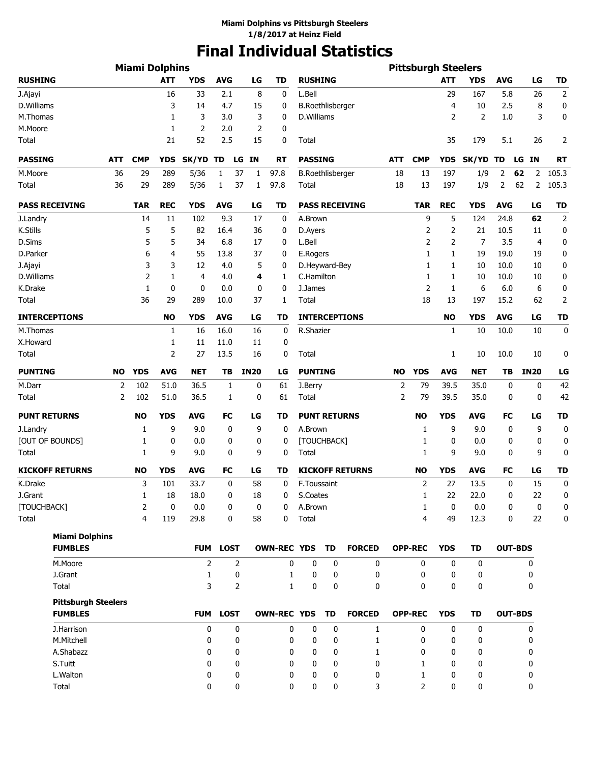## **Miami Dolphins vs Pittsburgh Steelers 1/8/2017 at Heinz Field**

# **Final Individual Statistics**

|                        |                            |     | <b>Miami Dolphins</b> |            |                |                 |             |                    |                         |                         |                        |                | <b>Pittsburgh Steelers</b> |            |            |                |                 |                  |
|------------------------|----------------------------|-----|-----------------------|------------|----------------|-----------------|-------------|--------------------|-------------------------|-------------------------|------------------------|----------------|----------------------------|------------|------------|----------------|-----------------|------------------|
| <b>RUSHING</b>         |                            |     |                       | <b>ATT</b> | <b>YDS</b>     | <b>AVG</b>      | LG          | <b>TD</b>          | <b>RUSHING</b>          |                         |                        |                |                            | <b>ATT</b> | <b>YDS</b> | <b>AVG</b>     | LG              | <b>TD</b>        |
| J.Ajayi                |                            |     |                       | 16         | 33             | 2.1             |             | 8<br>0             | L.Bell                  |                         |                        |                |                            | 29         | 167        | 5.8            | 26              | $\mathbf 2$      |
| D.Williams             |                            |     |                       | 3          | 14             | 4.7             | 15          | 0                  |                         | <b>B.Roethlisberger</b> |                        |                |                            | 4          | 10         | 2.5            | 8               | 0                |
| M.Thomas               |                            |     |                       | 1          | 3              | 3.0             |             | 3<br>0             | D.Williams              |                         |                        |                |                            | 2          | 2          | 1.0            | 3               | 0                |
| M.Moore                |                            |     |                       | 1          | 2              | 2.0             |             | 2<br>0             |                         |                         |                        |                |                            |            |            |                |                 |                  |
| Total                  |                            |     |                       | 21         | 52             | 2.5             | 15          | 0                  | Total                   |                         |                        |                |                            | 35         | 179        | 5.1            | 26              | 2                |
| <b>PASSING</b>         |                            | ATT | <b>CMP</b>            | <b>YDS</b> | <b>SK/YD</b>   | TD              | LG IN       | RT                 | <b>PASSING</b>          |                         |                        | ATT            | <b>CMP</b>                 | YDS        | SK/YD      | TD             | <b>IN</b><br>LG | <b>RT</b>        |
| M.Moore                |                            | 36  | 29                    | 289        | 5/36           | 1               | 37<br>1     | 97.8               | <b>B.Roethlisberger</b> |                         |                        | 18             | 13                         | 197        | 1/9        | 2              | 62<br>2         | 105.3            |
| Total                  |                            | 36  | 29                    | 289        | 5/36           | 1               | 37<br>1     | 97.8               | <b>Total</b>            |                         |                        | 18             | 13                         | 197        | 1/9        | 2              | 62<br>2         | 105.3            |
| <b>PASS RECEIVING</b>  |                            |     | <b>TAR</b>            | <b>REC</b> | <b>YDS</b>     | <b>AVG</b>      | LG          | TD                 |                         |                         | <b>PASS RECEIVING</b>  |                | <b>TAR</b>                 | <b>REC</b> | <b>YDS</b> | <b>AVG</b>     | LG              | <b>TD</b>        |
| J.Landry               |                            |     | 14                    | 11         | 102            | 9.3             | 17          | 0                  | A.Brown                 |                         |                        |                | 9                          | 5          | 124        | 24.8           | 62              | $\overline{2}$   |
| K.Stills               |                            |     | 5                     | 5          | 82             | 16.4            | 36          | 0                  | D.Ayers                 |                         |                        |                | 2                          | 2          | 21         | 10.5           | 11              | 0                |
| D.Sims                 |                            |     | 5                     | 5          | 34             | 6.8             | 17          | 0                  | L.Bell                  |                         |                        |                | $\overline{2}$             | 2          | 7          | 3.5            | $\overline{4}$  | $\mathbf 0$      |
| D.Parker               |                            |     | 6                     | 4          | 55             | 13.8            | 37          | 0                  | E.Rogers                |                         |                        |                | 1                          | 1          | 19         | 19.0           | 19              | 0                |
| J.Ajayi                |                            |     | 3                     | 3          | 12             | 4.0             |             | 5<br>0             |                         | D.Heyward-Bey           |                        |                | 1                          | 1          | 10         | 10.0           | 10              | 0                |
| D.Williams             |                            |     | 2                     | 1          | 4              | 4.0             |             | 4<br>1             | C.Hamilton              |                         |                        |                | 1                          | 1          | 10         | 10.0           | 10              | 0                |
| K.Drake                |                            |     | 1                     | 0          | 0              | 0.0             |             | 0<br>0             | J.James                 |                         |                        |                | $\overline{2}$             | 1          | 6          | 6.0            | 6               | 0                |
| Total                  |                            |     | 36                    | 29         | 289            | 10.0            | 37          | 1                  | Total                   |                         |                        |                | 18                         | 13         | 197        | 15.2           | 62              | $\overline{2}$   |
| <b>INTERCEPTIONS</b>   |                            |     |                       | <b>NO</b>  | <b>YDS</b>     | <b>AVG</b>      | LG          | TD                 |                         |                         | <b>INTERCEPTIONS</b>   |                |                            | <b>NO</b>  | <b>YDS</b> | <b>AVG</b>     | LG              | <b>TD</b>        |
| M.Thomas               |                            |     |                       | 1          | 16             | 16.0            | 16          | 0                  | R.Shazier               |                         |                        |                |                            | 1          | 10         | 10.0           | 10              | 0                |
| X.Howard               |                            |     |                       | 1          | 11             | 11.0            | 11          | 0                  |                         |                         |                        |                |                            |            |            |                |                 |                  |
| Total                  |                            |     |                       | 2          | 27             | 13.5            | 16          | 0                  | Total                   |                         |                        |                |                            | 1          | 10         | 10.0           | 10              | 0                |
| <b>PUNTING</b>         |                            | NO  | <b>YDS</b>            | <b>AVG</b> | <b>NET</b>     | TB              | <b>IN20</b> | LG                 | <b>PUNTING</b>          |                         |                        | <b>NO</b>      | YDS                        | <b>AVG</b> | <b>NET</b> | ΤВ             | <b>IN20</b>     | LG               |
| M.Darr                 |                            | 2   | 102                   | 51.0       | 36.5           | 1               |             | 0<br>61            | J.Berry                 |                         |                        | $\overline{2}$ | 79                         | 39.5       | 35.0       | 0              | $\mathbf 0$     | 42               |
| Total                  |                            | 2   | 102                   | 51.0       | 36.5           | 1               | 0           | 61                 | Total                   |                         |                        | $\overline{2}$ | 79                         | 39.5       | 35.0       | 0              | 0               | 42               |
| <b>PUNT RETURNS</b>    |                            |     | <b>NO</b>             | <b>YDS</b> | <b>AVG</b>     | FC              | LG          | TD                 |                         | <b>PUNT RETURNS</b>     |                        |                | <b>NO</b>                  | <b>YDS</b> | <b>AVG</b> | FC             | LG              | <b>TD</b>        |
| J.Landry               |                            |     | 1                     | 9          | 9.0            | 0               | 9           | 0                  | A.Brown                 |                         |                        |                | 1                          | 9          | 9.0        | 0              | 9               | $\mathbf 0$      |
| [OUT OF BOUNDS]        |                            |     | 1                     | 0          | 0.0            | 0               |             | 0<br>0             |                         | [TOUCHBACK]             |                        |                | 1                          | 0          | 0.0        | 0              | 0               | 0                |
| Total                  |                            |     | 1                     | 9          | 9.0            | 0               |             | 9<br>0             | Total                   |                         |                        |                | 1                          | 9          | 9.0        | 0              | 9               | 0                |
| <b>KICKOFF RETURNS</b> |                            |     | <b>NO</b>             | <b>YDS</b> | <b>AVG</b>     | FC              | LG          | TD                 |                         |                         | <b>KICKOFF RETURNS</b> |                | <b>NO</b>                  | <b>YDS</b> | <b>AVG</b> | FC             | LG              | <b>TD</b>        |
| K.Drake                |                            |     | 3                     | 101        | 33.7           | 0               | 58          | 0                  | F.Toussaint             |                         |                        |                | $\overline{2}$             | 27         | 13.5       | 0              | 15              | $\boldsymbol{0}$ |
| J.Grant                |                            |     | $\mathbf{1}$          | 18         | 18.0           | 0               | 18          | $\Omega$           | S.Coates                |                         |                        |                | 1                          | 22         | 22.0       | 0              | 22              | $\mathbf{0}$     |
| [TOUCHBACK]            |                            |     | 2                     | 0          | 0.0            | 0               |             | 0<br>0             | A.Brown                 |                         |                        |                | 1                          | 0          | $0.0\,$    | 0              | $\mathbf 0$     | 0                |
| Total                  |                            |     | $\overline{4}$        | 119        | 29.8           | 0               | 58          | 0                  | Total                   |                         |                        |                | $\overline{4}$             | 49         | 12.3       | 0              | 22              | 0                |
|                        | <b>Miami Dolphins</b>      |     |                       |            |                |                 |             |                    |                         |                         |                        |                |                            |            |            |                |                 |                  |
| <b>FUMBLES</b>         |                            |     |                       |            | <b>FUM</b>     | <b>LOST</b>     |             | <b>OWN-REC YDS</b> |                         | <b>TD</b>               | <b>FORCED</b>          |                | <b>OPP-REC</b>             | <b>YDS</b> | TD         |                | <b>OUT-BDS</b>  |                  |
| M.Moore                |                            |     |                       |            | $\overline{2}$ | 2               |             | 0                  | 0                       | 0                       | 0                      |                | $\mathbf{0}$               | 0          | 0          |                | 0               |                  |
| J.Grant                |                            |     |                       |            | 1              | 0               |             | 1                  | 0                       | 0                       | 0                      |                | 0                          | 0          | 0          |                | 0               |                  |
| Total                  |                            |     |                       |            | 3              | $\overline{2}$  |             | 1                  | 0                       | 0                       | 0                      |                | 0                          | 0          | 0          |                | 0               |                  |
| <b>FUMBLES</b>         | <b>Pittsburgh Steelers</b> |     |                       |            |                | <b>FUM LOST</b> |             | <b>OWN-REC YDS</b> |                         | TD                      | <b>FORCED</b>          |                | <b>OPP-REC</b>             | <b>YDS</b> | TD         | <b>OUT-BDS</b> |                 |                  |
| J.Harrison             |                            |     |                       |            | 0              | 0               |             | 0                  | 0                       | 0                       | $\mathbf{1}$           |                | $\mathbf{0}$               | 0          | 0          |                | 0               |                  |
| M.Mitchell             |                            |     |                       |            | 0              | 0               |             | 0                  | 0                       | 0                       | 1                      |                | 0                          | 0          | 0          |                | 0               |                  |
| A.Shabazz              |                            |     |                       |            | 0              | 0               |             | 0                  | 0                       | 0                       | 1                      |                | 0                          | 0          | 0          |                | 0               |                  |
| S.Tuitt                |                            |     |                       |            | 0              | 0               |             | 0                  | 0                       | 0                       | 0                      |                | $\mathbf{1}$               | 0          | 0          |                | 0               |                  |
| L.Walton               |                            |     |                       |            | 0              | 0               |             | 0                  | 0                       | 0                       | 0                      |                | 1                          | 0          | 0          |                | 0               |                  |
| Total                  |                            |     |                       |            | 0              | 0               |             | 0                  | 0                       | 0                       | 3                      |                | $\overline{2}$             | 0          | 0          |                | 0               |                  |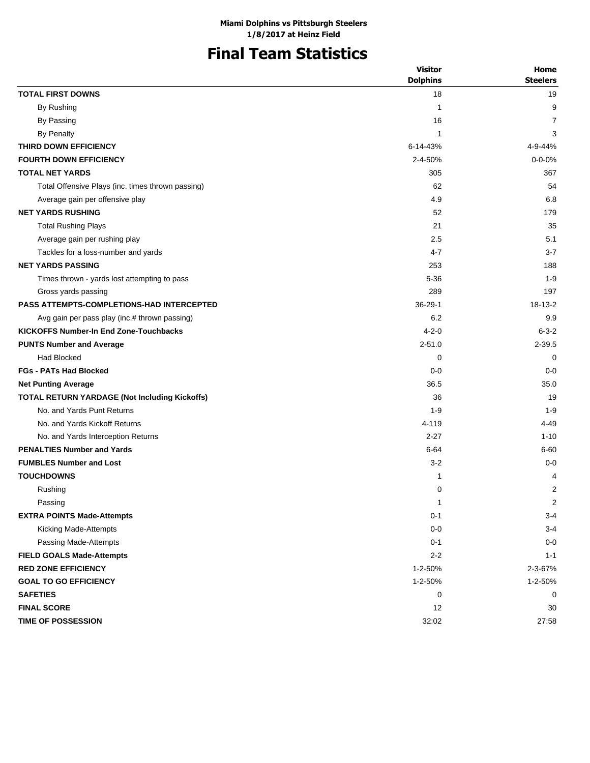# **Final Team Statistics**

|                                                   | <b>Visitor</b>        | Home<br><b>Steelers</b> |
|---------------------------------------------------|-----------------------|-------------------------|
| <b>TOTAL FIRST DOWNS</b>                          | <b>Dolphins</b><br>18 | 19                      |
| By Rushing                                        | 1                     | 9                       |
| By Passing                                        | 16                    | 7                       |
| <b>By Penalty</b>                                 | 1                     | 3                       |
| THIRD DOWN EFFICIENCY                             | 6-14-43%              | 4-9-44%                 |
| <b>FOURTH DOWN EFFICIENCY</b>                     | 2-4-50%               | $0 - 0 - 0%$            |
| <b>TOTAL NET YARDS</b>                            | 305                   | 367                     |
| Total Offensive Plays (inc. times thrown passing) | 62                    | 54                      |
| Average gain per offensive play                   | 4.9                   | 6.8                     |
| <b>NET YARDS RUSHING</b>                          | 52                    | 179                     |
| <b>Total Rushing Plays</b>                        | 21                    | 35                      |
| Average gain per rushing play                     | 2.5                   | 5.1                     |
| Tackles for a loss-number and yards               | 4-7                   | $3 - 7$                 |
| <b>NET YARDS PASSING</b>                          | 253                   | 188                     |
| Times thrown - yards lost attempting to pass      | $5 - 36$              | $1 - 9$                 |
| Gross yards passing                               | 289                   | 197                     |
| <b>PASS ATTEMPTS-COMPLETIONS-HAD INTERCEPTED</b>  | $36 - 29 - 1$         | $18-13-2$               |
| Avg gain per pass play (inc.# thrown passing)     | 6.2                   | 9.9                     |
| <b>KICKOFFS Number-In End Zone-Touchbacks</b>     | $4 - 2 - 0$           | $6 - 3 - 2$             |
| <b>PUNTS Number and Average</b>                   | $2 - 51.0$            | $2 - 39.5$              |
| Had Blocked                                       | 0                     | 0                       |
| <b>FGs - PATs Had Blocked</b>                     | $0 - 0$               | $0 - 0$                 |
| <b>Net Punting Average</b>                        | 36.5                  | 35.0                    |
| TOTAL RETURN YARDAGE (Not Including Kickoffs)     | 36                    | 19                      |
| No. and Yards Punt Returns                        | $1 - 9$               | $1 - 9$                 |
| No. and Yards Kickoff Returns                     | 4-119                 | 4-49                    |
| No. and Yards Interception Returns                | $2 - 27$              | $1 - 10$                |
| <b>PENALTIES Number and Yards</b>                 | $6 - 64$              | $6 - 60$                |
| <b>FUMBLES Number and Lost</b>                    | $3 - 2$               | $0 - 0$                 |
| <b>TOUCHDOWNS</b>                                 | 1                     | 4                       |
| Rushing                                           | 0                     | 2                       |
| Passing                                           | 1                     | 2                       |
| <b>EXTRA POINTS Made-Attempts</b>                 | $0 - 1$               | $3 - 4$                 |
| Kicking Made-Attempts                             | $0-0$                 | $3 - 4$                 |
| Passing Made-Attempts                             | $0 - 1$               | $0 - 0$                 |
| <b>FIELD GOALS Made-Attempts</b>                  | $2 - 2$               | $1 - 1$                 |
| <b>RED ZONE EFFICIENCY</b>                        | 1-2-50%               | 2-3-67%                 |
| <b>GOAL TO GO EFFICIENCY</b>                      | 1-2-50%               | 1-2-50%                 |
| <b>SAFETIES</b>                                   | 0                     | 0                       |
| <b>FINAL SCORE</b>                                | 12                    | 30                      |
| <b>TIME OF POSSESSION</b>                         | 32:02                 | 27:58                   |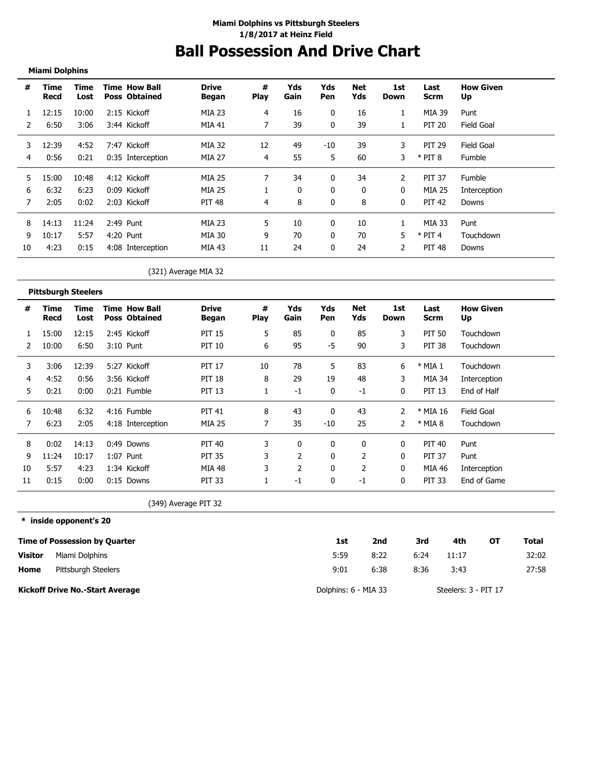## **Ball Possession And Drive Chart Miami Dolphins vs Pittsburgh Steelers 1/8/2017 at Heinz Field**

**Miami Dolphins**

| #  | Time<br>Recd | Time<br>Lost | <b>Time How Ball</b><br><b>Poss Obtained</b> | <b>Drive</b><br>Began | #<br><b>Play</b> | Yds<br>Gain | Yds<br>Pen | Net<br>Yds | 1st<br>Down | Last<br><b>Scrm</b> | <b>How Given</b><br>Up |
|----|--------------|--------------|----------------------------------------------|-----------------------|------------------|-------------|------------|------------|-------------|---------------------|------------------------|
|    | 12:15        | 10:00        | 2:15 Kickoff                                 | <b>MIA 23</b>         | 4                | 16          | 0          | 16         |             | MIA 39              | Punt                   |
|    | 6:50         | 3:06         | 3:44 Kickoff                                 | MIA 41                |                  | 39          | 0          | 39         |             | <b>PIT 20</b>       | Field Goal             |
| 3  | 12:39        | 4:52         | 7:47 Kickoff                                 | MIA 32                | 12               | 49          | $-10$      | 39         | 3           | <b>PIT 29</b>       | Field Goal             |
| 4  | 0:56         | 0:21         | 0:35 Interception                            | MIA 27                | 4                | 55          | 5          | 60         | 3           | $*$ PIT 8           | Fumble                 |
| 5  | 15:00        | 10:48        | 4:12 Kickoff                                 | MIA 25                |                  | 34          | 0          | 34         | 2           | <b>PIT 37</b>       | <b>Fumble</b>          |
| 6  | 6:32         | 6:23         | 0:09 Kickoff                                 | <b>MIA 25</b>         |                  |             | 0          | $\Omega$   | 0           | MIA 25              | Interception           |
|    | 2:05         | 0:02         | 2:03 Kickoff                                 | <b>PIT 48</b>         | 4                | 8           | 0          | 8          | 0           | <b>PIT 42</b>       | Downs                  |
| 8  | 14:13        | 11:24        | 2:49 Punt                                    | MIA 23                | 5.               | 10          | 0          | 10         |             | MIA 33              | Punt                   |
| 9  | 10:17        | 5:57         | 4:20 Punt                                    | MIA 30                | 9                | 70          | 0          | 70         | 5.          | $*$ PIT 4           | Touchdown              |
| 10 | 4:23         | 0:15         | 4:08 Interception                            | MIA 43                | 11               | 24          | 0          | 24         | 2           | <b>PIT 48</b>       | Downs                  |

(321) Average MIA 32

|    | <b>Pittsburgh Steelers</b> |              |                                              |                       |                  |             |            |                   |             |                     |                        |
|----|----------------------------|--------------|----------------------------------------------|-----------------------|------------------|-------------|------------|-------------------|-------------|---------------------|------------------------|
| #  | Time<br>Recd               | Time<br>Lost | <b>Time How Ball</b><br><b>Poss Obtained</b> | <b>Drive</b><br>Began | #<br><b>Play</b> | Yds<br>Gain | Yds<br>Pen | <b>Net</b><br>Yds | 1st<br>Down | Last<br><b>Scrm</b> | <b>How Given</b><br>Up |
|    | 15:00                      | 12:15        | 2:45 Kickoff                                 | <b>PIT 15</b>         | 5                | 85          | 0          | 85                | 3           | <b>PIT 50</b>       | Touchdown              |
|    | 10:00                      | 6:50         | 3:10 Punt                                    | PIT 10                | 6                | 95          | -5         | 90                | 3           | <b>PIT 38</b>       | Touchdown              |
| 3  | 3:06                       | 12:39        | 5:27 Kickoff                                 | <b>PIT 17</b>         | 10               | 78          | 5          | 83                | 6           | * MIA 1             | Touchdown              |
| 4  | 4:52                       | 0:56         | 3:56 Kickoff                                 | <b>PIT 18</b>         | 8                | 29          | 19         | 48                | 3           | MIA 34              | Interception           |
| 5  | 0:21                       | 0:00         | 0:21 Fumble                                  | <b>PIT 13</b>         |                  | -1          | 0          | -1                | 0           | <b>PIT 13</b>       | End of Half            |
| 6  | 10:48                      | 6:32         | 4:16 Fumble                                  | <b>PIT 41</b>         | 8                | 43          | $\Omega$   | 43                |             | * MIA 16            | Field Goal             |
|    | 6:23                       | 2:05         | 4:18 Interception                            | MIA 25                | 7                | 35          | -10        | 25                |             | * MIA 8             | Touchdown              |
| 8  | 0:02                       | 14:13        | 0:49 Downs                                   | <b>PIT 40</b>         | 3                | 0           | 0          | 0                 | 0           | PIT 40              | Punt                   |
| 9  | 11:24                      | 10:17        | 1:07 Punt                                    | <b>PIT 35</b>         | 3                | 2           | 0          | 2                 | 0           | <b>PIT 37</b>       | Punt                   |
| 10 | 5:57                       | 4:23         | 1:34 Kickoff                                 | MIA 48                | 3                | 2           | 0          | 2                 | 0           | MIA 46              | Interception           |
| 11 | 0:15                       | 0:00         | $0:15$ Downs                                 | <b>PIT 33</b>         |                  | $-1$        | 0          | $-1$              | 0           | <b>PIT 33</b>       | End of Game            |

(349) Average PIT 32

### **\* inside opponent's 20**

|                | <b>Time of Possession by Quarter</b>   | 1st                  | 2nd  | 3rd  | 4th                  | OТ | Total |
|----------------|----------------------------------------|----------------------|------|------|----------------------|----|-------|
| <b>Visitor</b> | Miami Dolphins                         | 5:59                 | 8:22 | 6:24 | 11:17                |    | 32:02 |
| Home           | Pittsburgh Steelers                    | 9:01                 | 6:38 | 8:36 | 3:43                 |    | 27:58 |
|                | <b>Kickoff Drive No.-Start Average</b> | Dolphins: 6 - MIA 33 |      |      | Steelers: 3 - PIT 17 |    |       |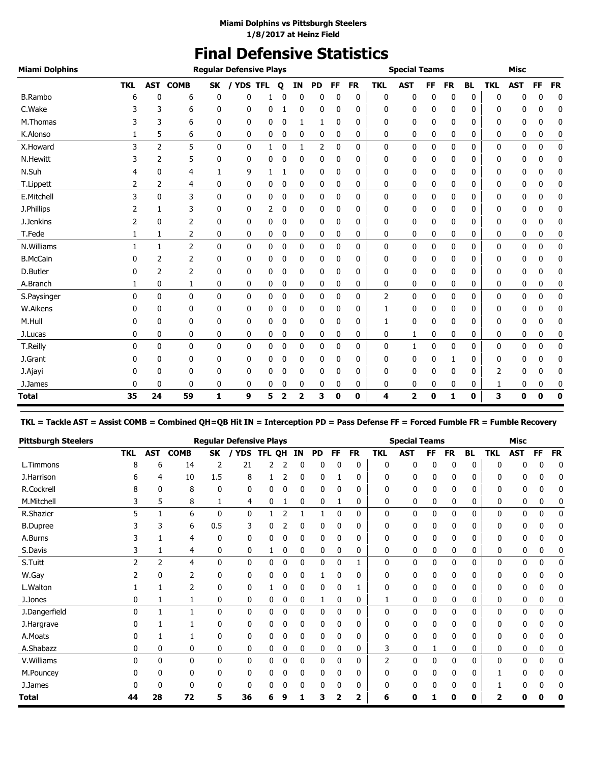## **Miami Dolphins vs Pittsburgh Steelers 1/8/2017 at Heinz Field**

# **Final Defensive Statistics**

| <b>Miami Dolphins</b> |            |              |                |              | <b>Reqular Defensive Plays</b> |                |             |                         |           |              |           |            | <b>Special Teams</b> |           |              |           |            | <b>Misc</b> |          |                  |
|-----------------------|------------|--------------|----------------|--------------|--------------------------------|----------------|-------------|-------------------------|-----------|--------------|-----------|------------|----------------------|-----------|--------------|-----------|------------|-------------|----------|------------------|
|                       | <b>TKL</b> | <b>AST</b>   | <b>COMB</b>    | <b>SK</b>    |                                | <b>YDS TFL</b> | Q           | IN                      | <b>PD</b> | FF           | <b>FR</b> | <b>TKL</b> | <b>AST</b>           | <b>FF</b> | <b>FR</b>    | <b>BL</b> | <b>TKL</b> | <b>AST</b>  | FF       | <b>FR</b>        |
| <b>B.Rambo</b>        | 6          | 0            | 6              | 0            | 0                              |                |             | 0                       | 0         | 0            | 0         | 0          | 0                    | 0         | 0            | 0         | 0          | ŋ           | 0        | $\boldsymbol{0}$ |
| C.Wake                |            | 3            | 6              | 0            | 0                              | 0              |             | 0                       | 0         | 0            | 0         | 0          | 0                    | 0         | 0            | 0         | 0          | 0           | 0        | 0                |
| M.Thomas              |            | 3            | 6              | 0            | 0                              | 0              | 0           | 1                       | 1         | $\mathbf{0}$ | 0         | 0          | 0                    | 0         | 0            | 0         | 0          | 0           | 0        | 0                |
| K.Alonso              |            | 5            | 6              | 0            | 0                              | 0              | 0           | 0                       | 0         | 0            | 0         | 0          | 0                    | 0         | 0            | 0         | 0          | 0           | 0        | 0                |
| X.Howard              | 3          | 2            | 5              | $\mathbf{0}$ | $\mathbf{0}$                   | 1              | $\mathbf 0$ | $\mathbf{1}$            | 2         | $\mathbf 0$  | 0         | 0          | 0                    | 0         | 0            | 0         | 0          | 0           | 0        | 0                |
| N.Hewitt              |            | 2            | 5              | 0            | 0                              | 0              | 0           | 0                       | 0         | 0            | 0         | 0          | 0                    | 0         | 0            | 0         | 0          | 0           | 0        | 0                |
| N.Suh                 |            | 0            | 4              | 1            | 9                              | 1              |             | 0                       | 0         | 0            | 0         | 0          | 0                    | 0         | 0            | 0         | 0          | 0           | 0        | 0                |
| T.Lippett             | 2          | 2            | 4              | 0            | 0                              | 0              | 0           | 0                       | 0         | 0            | 0         | 0          | 0                    | 0         | 0            | 0         | 0          | 0           | 0        | 0                |
| E.Mitchell            | 3          | 0            | 3              | $\mathbf{0}$ | 0                              | 0              | 0           | 0                       | 0         | 0            | 0         | 0          | 0                    | 0         | 0            | 0         | 0          | 0           | 0        | 0                |
| J.Phillips            | 2          | 1            | 3              | 0            | 0                              | 2              | 0           | 0                       | 0         | 0            | 0         | 0          | 0                    | 0         | 0            | 0         | 0          | 0           | 0        | 0                |
| J.Jenkins             | 2          | 0            | 2              | 0            | 0                              | 0              | 0           | 0                       | 0         | 0            | 0         | 0          | 0                    | 0         | 0            | 0         | 0          | 0           | 0        | 0                |
| T.Fede                | 1          | 1            | 2              | 0            | 0                              | 0              | 0           | 0                       | 0         | 0            | 0         | 0          | 0                    | 0         | 0            | 0         | 0          | 0           | 0        | 0                |
| N.Williams            |            | $\mathbf{1}$ | $\overline{2}$ | 0            | 0                              | 0              | 0           | 0                       | 0         | $\mathbf 0$  | 0         | 0          | 0                    | 0         | 0            | 0         | 0          | 0           | 0        | 0                |
| <b>B.McCain</b>       | 0          | 2            | 2              | 0            | 0                              | 0              | 0           | 0                       | 0         | 0            | 0         | 0          | 0                    | 0         | 0            | 0         | 0          | 0           | 0        | 0                |
| D.Butler              |            | 2            | 2              | 0            | 0                              | 0              | 0           | 0                       | 0         | 0            | 0         | 0          | 0                    | 0         | 0            | 0         | 0          | 0           | 0        | 0                |
| A.Branch              | 1          | 0            | 1              | 0            | 0                              | 0              | 0           | 0                       | 0         | 0            | 0         | 0          | 0                    | 0         | 0            | 0         | 0          | 0           | 0        | 0                |
| S.Paysinger           | $\Omega$   | $\mathbf{0}$ | 0              | $\mathbf{0}$ | 0                              | 0              | 0           | 0                       | 0         | 0            | 0         | 2          | 0                    | 0         | 0            | 0         | 0          | 0           | 0        | 0                |
| W.Aikens              | 0          | 0            | 0              | 0            | 0                              | 0              | 0           | 0                       | 0         | 0            | 0         | 1          | 0                    | 0         | 0            | 0         | 0          | 0           | 0        | 0                |
| M.Hull                | 0          | 0            | 0              | 0            | 0                              | 0              | 0           | 0                       | 0         | 0            | 0         | 1          | 0                    | 0         | 0            | 0         | 0          | 0           | 0        | 0                |
| J.Lucas               | 0          | 0            | 0              | 0            | 0                              | 0              | 0           | 0                       | 0         | 0            | 0         | 0          | 1                    | 0         | 0            | 0         | 0          | 0           | 0        | 0                |
| T.Reilly              | 0          | $\mathbf{0}$ | 0              | 0            | 0                              | 0              | 0           | 0                       | 0         | $\mathbf 0$  | 0         | 0          | $\mathbf{1}$         | 0         | 0            | 0         | 0          | 0           | 0        | 0                |
| J.Grant               | 0          | 0            | 0              | 0            | 0                              | 0              | 0           | 0                       | 0         | 0            | 0         | 0          | 0                    | 0         | 1            | 0         | 0          | 0           | 0        | 0                |
| J.Ajayi               |            | 0            | 0              | 0            | 0                              | 0              | 0           | 0                       | 0         | 0            | 0         | 0          | 0                    | 0         | 0            | 0         | 2          | 0           | 0        | 0                |
| J.James               | 0          | 0            | 0              | 0            | 0                              | 0              | 0           | 0                       | 0         | 0            | 0         | 0          | 0                    | 0         | 0            | 0         | 1          | 0           | 0        | 0                |
| <b>Total</b>          | 35         | 24           | 59             | 1            | 9                              | 5              | 2           | $\overline{\mathbf{2}}$ | 3         | 0            | 0         | 4          | 2                    | 0         | $\mathbf{1}$ | 0         | 3          | 0           | $\bf{0}$ | 0                |

**TKL = Tackle AST = Assist COMB = Combined QH=QB Hit IN = Interception PD = Pass Defense FF = Forced Fumble FR = Fumble Recovery**

| <b>Pittsburgh Steelers</b> |            |                |             |           | <b>Regular Defensive Plays</b> |        |              |             |           |              |           |            | <b>Special Teams</b> |           |              |              |              | <b>Misc</b> |             |           |
|----------------------------|------------|----------------|-------------|-----------|--------------------------------|--------|--------------|-------------|-----------|--------------|-----------|------------|----------------------|-----------|--------------|--------------|--------------|-------------|-------------|-----------|
|                            | <b>TKL</b> | <b>AST</b>     | <b>COMB</b> | <b>SK</b> | <b>YDS</b>                     | TFL OH |              | <b>IN</b>   | <b>PD</b> | <b>FF</b>    | <b>FR</b> | <b>TKL</b> | <b>AST</b>           | <b>FF</b> | <b>FR</b>    | <b>BL</b>    | <b>TKL</b>   | <b>AST</b>  | FF          | <b>FR</b> |
| L.Timmons                  | 8          | 6              | 14          | 2         | 21                             | 2      |              | 0           | 0         | 0            | 0         | 0          | 0                    | 0         | 0            | 0            | $\mathbf{0}$ | 0           | 0           | 0         |
| J.Harrison                 | h          | 4              | 10          | 1.5       | 8                              |        |              | 0           | 0         |              | 0         | 0          | 0                    | 0         | 0            | 0            | $\Omega$     | 0           | 0           | 0         |
| R.Cockrell                 |            | 0              | 8           | 0         | 0                              | 0      |              | 0           | 0         |              | 0         | 0          | 0                    |           | 0            | 0            | 0            | 0           |             | 0         |
| M.Mitchell                 | 3          | 5              | 8           | 1         | 4                              | 0      |              | 0           | 0         |              | 0         | 0          | 0                    | 0         | 0            | 0            | 0            | 0           | 0           | 0         |
| R.Shazier                  |            |                | 6           | 0         | 0                              |        |              | 1           |           | 0            | 0         | 0          | 0                    | 0         | 0            | 0            | $\mathbf 0$  | 0           | $\mathbf 0$ | 0         |
| <b>B.Dupree</b>            |            |                | 6           | 0.5       | 3                              | 0      |              | 0           | 0         | 0            | 0         | 0          | 0                    |           | 0            | 0            | $\Omega$     | 0           |             | 0         |
| A.Burns                    |            |                | 4           | 0         | 0                              | 0      | C            | 0           | 0         | 0            | 0         | 0          | 0                    | 0         | 0            | 0            | 0            | 0           | 0           | 0         |
| S.Davis                    |            |                | 4           | 0         | 0                              |        | 0            | $\mathbf 0$ | 0         | 0            | 0         | 0          | 0                    | 0         | 0            | 0            | $\mathbf 0$  | 0           | 0           | 0         |
| S.Tuitt                    |            | $\overline{2}$ | 4           | 0         | 0                              | 0      | 0            | $\mathbf 0$ | 0         | 0            |           | 0          | 0                    | 0         | 0            | 0            | $\mathbf{0}$ | 0           | 0           | 0         |
| W.Gay                      |            | 0              | 2           | 0         | 0                              | 0      | C            | 0           |           | 0            | 0         | 0          | 0                    | 0         | 0            | 0            | 0            | 0           | 0           | 0         |
| L.Walton                   |            |                | 2           | 0         | 0                              |        | 0            | 0           | 0         | 0            |           | 0          | 0                    | 0         | 0            | 0            | 0            | 0           | 0           | 0         |
| J.Jones                    | 0          |                |             | 0         | 0                              | 0      | C            | 0           | 1         | 0            | 0         | 1          | 0                    | 0         | 0            | 0            | 0            | 0           | 0           | O         |
| J.Dangerfield              | $\Omega$   |                | 1           | 0         | $\mathbf{0}$                   | 0      | 0            | $\mathbf 0$ | 0         | $\mathbf{0}$ | 0         | 0          | 0                    | 0         | $\mathbf{0}$ | 0            | 0            | 0           | $\mathbf 0$ | 0         |
| J.Hargrave                 |            |                |             | 0         | 0                              | 0      | 0            | 0           | 0         | 0            | 0         | 0          | 0                    | 0         | 0            | 0            | 0            | 0           | 0           | 0         |
| A.Moats                    |            |                |             | 0         | 0                              | 0      |              | 0           | 0         | 0            | 0         | 0          | 0                    |           | 0            | 0            | 0            | 0           | 0           | 0         |
| A.Shabazz                  | 0          | 0              | 0           | 0         | 0                              | 0      | 0            | 0           | 0         | 0            | 0         | 3          | 0                    |           | 0            | 0            | 0            | 0           | 0           | 0         |
| V. Williams                |            | 0              | 0           | 0         | 0                              | 0      | $\mathbf{0}$ | 0           | 0         | 0            | 0         | 2          | 0                    | 0         | $\mathbf{0}$ | $\mathbf{0}$ | 0            | 0           | 0           | 0         |
| M.Pouncey                  |            | 0              | 0           | 0         | 0                              | 0      |              | 0           | 0         | 0            | 0         | 0          | 0                    |           | 0            | 0            |              | 0           | 0           | 0         |
| J.James                    |            | 0              | 0           | 0         | 0                              | 0      | 0            | 0           | 0         | 0            | 0         | 0          | 0                    | 0         | 0            | 0            |              | 0           | 0           | 0         |
| Total                      | 44         | 28             | 72          | 5         | 36                             | 6      |              |             | ٦         |              | 2         | 6          | Ω                    |           | U            | 0            | 2            | n           |             | 0         |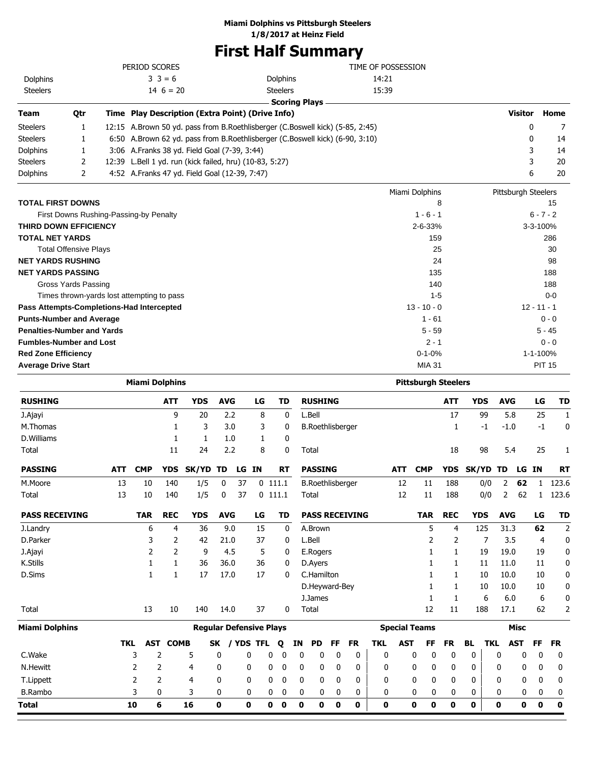## **Miami Dolphins vs Pittsburgh Steelers**

**1/8/2017 at Heinz Field**

## **First Half Summary**

|                                   |                              | PERIOD SCORES                                           |                                                                               | TIME OF POSSESSION |                     |               |
|-----------------------------------|------------------------------|---------------------------------------------------------|-------------------------------------------------------------------------------|--------------------|---------------------|---------------|
| Dolphins                          |                              | $3 \ 3 = 6$                                             | <b>Dolphins</b>                                                               | 14:21              |                     |               |
| <b>Steelers</b>                   |                              | $14\,6=20$                                              | <b>Steelers</b>                                                               | 15:39              |                     |               |
|                                   |                              |                                                         | <b>Scoring Plays</b>                                                          |                    |                     |               |
| <b>Team</b>                       | Qtr                          | Time Play Description (Extra Point) (Drive Info)        |                                                                               |                    | <b>Visitor</b>      | Home          |
| <b>Steelers</b>                   |                              |                                                         | 12:15 A.Brown 50 yd. pass from B.Roethlisberger (C.Boswell kick) (5-85, 2:45) |                    | 0                   | 7             |
| <b>Steelers</b>                   |                              |                                                         | 6:50 A.Brown 62 yd. pass from B.Roethlisberger (C.Boswell kick) (6-90, 3:10)  |                    | 0                   | 14            |
| Dolphins                          |                              | 3:06 A.Franks 38 yd. Field Goal (7-39, 3:44)            |                                                                               |                    | 3                   | 14            |
| <b>Steelers</b>                   | 2                            | 12:39 L.Bell 1 yd. run (kick failed, hru) (10-83, 5:27) |                                                                               |                    | 3                   | 20            |
| Dolphins                          | 2                            | 4:52 A.Franks 47 yd. Field Goal (12-39, 7:47)           |                                                                               |                    | 6                   | 20            |
|                                   |                              |                                                         |                                                                               | Miami Dolphins     | Pittsburgh Steelers |               |
| <b>TOTAL FIRST DOWNS</b>          |                              |                                                         |                                                                               | 8                  |                     | 15            |
|                                   |                              | First Downs Rushing-Passing-by Penalty                  |                                                                               | $1 - 6 - 1$        |                     | $6 - 7 - 2$   |
| <b>THIRD DOWN EFFICIENCY</b>      |                              |                                                         |                                                                               | $2 - 6 - 33%$      |                     | 3-3-100%      |
| <b>TOTAL NET YARDS</b>            |                              |                                                         |                                                                               | 159                |                     | 286           |
|                                   | <b>Total Offensive Plays</b> |                                                         |                                                                               | 25                 |                     | 30            |
| <b>NET YARDS RUSHING</b>          |                              |                                                         |                                                                               | 24                 |                     | 98            |
| <b>NET YARDS PASSING</b>          |                              |                                                         |                                                                               | 135                |                     | 188           |
|                                   | Gross Yards Passing          |                                                         |                                                                               | 140                |                     | 188           |
|                                   |                              | Times thrown-yards lost attempting to pass              |                                                                               | $1 - 5$            |                     | $0 - 0$       |
|                                   |                              | Pass Attempts-Completions-Had Intercepted               |                                                                               | $13 - 10 - 0$      |                     | $12 - 11 - 1$ |
| <b>Punts-Number and Average</b>   |                              |                                                         |                                                                               | $1 - 61$           |                     | $0 - 0$       |
| <b>Penalties-Number and Yards</b> |                              |                                                         |                                                                               | $5 - 59$           |                     | $5 - 45$      |
| <b>Fumbles-Number and Lost</b>    |                              |                                                         |                                                                               | $2 - 1$            |                     | $0 - 0$       |

**Red Zone Efficiency** 0-1-0% 1-1-100%

**Miami Dolphins Regular Defensive Plays Special Teams Misc Miami Dolphins Pittsburgh Steelers Average Drive Start** PIT 15 **RUSHING ATT YDS AVG LG TD RUSHING ATT YDS AVG LG TD** J.Ajayi 9 20 2.2 8 0 L.Bell 17 99 5.8 25 1 M.Thomas 1 3 3.0 3 0 B.Roethlisberger 1 -1 -1.0 -1 0 D. Williams 1 1 1.0 1 0 Total 11 24 2.2 8 0 Total 18 98 5.4 25 1 **PASSING ATT CMP YDS SK/YD TD LG IN RT PASSING ATT CMP YDS SK/YD TD LG IN RT** M.Moore 13 10 140 1/5 0 37 0 111.1 B.Roethlisberger 12 11 188 0/0 2 **62** 1 123.6 Total 13 10 140 1/5 0 37 0 111.1 Total 12 11 188 0/0 2 62 1 123.6 **PASS RECEIVING TAR REC YDS AVG LG TD PASS RECEIVING TAR REC YDS AVG LG TD** J.Landry 6 4 36 9.0 15 0 A.Brown 5 4 125 31.3 **62** 2 D.Parker 3 2 42 21.0 37 0 L.Bell 2 2 7 3.5 4 0 J.Ajayi 2 2 9 4.5 5 0 E.Rogers 1 1 19 19.0 19 0 K.Stills 1 1 36 36.0 36 0 D.Ayers 1 1 11 11.0 11 0 D.Sims 1 17 17.0 17 0 C.Hamilton 1 10 10 0 D.Heyward-Bey 1 1 1 10 10.0 10 0 J.James 1 1 6 6.0 6 0 Total 13 10 140 14.0 37 0 Total 12 11 188 17.1 62 2 **TKL AST COMB SK / YDS TFL Q IN PD FF FR TKL AST FF FR BL TKL AST FF FR** C.Wake 3 2 5 0 0 0 0 0 0 0 0 0 0 0 0 0 0 0 0 0 N.Hewitt 2 2 4 0 0 0 0 0 0 0 0 0 0 0 0 0 0 0 0 0 T.Lippett 2 2 4 0 0 0 0 0 0 0 0 0 0 0 0 0 0 0 0 0

B.Rambo 3 0 3 0 0 0 0 0 0 0 0 0 0 0 0 0 0 0 0 0 **Total 10 6 16 0 0 0 0 0 0 0 0 0 0 0 0 0 0 0 0 0**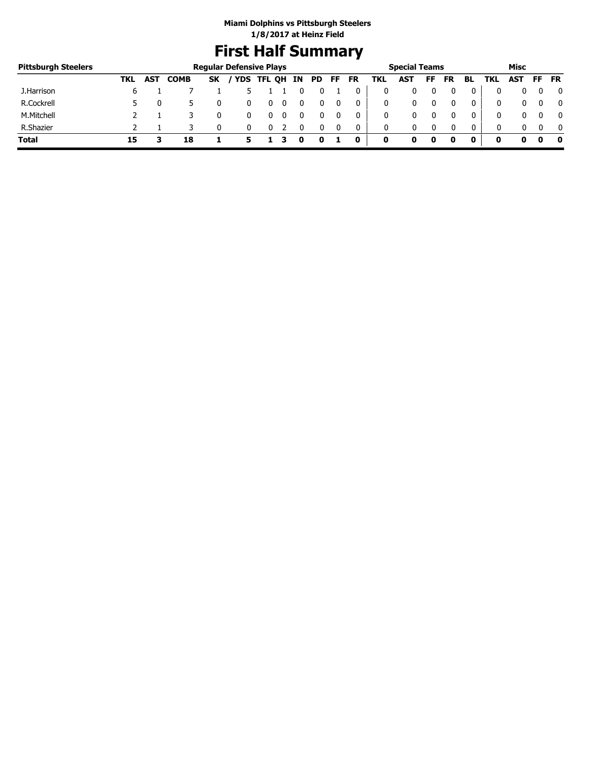## **Miami Dolphins vs Pittsburgh Steelers 1/8/2017 at Heinz Field**

# **First Half Summary**

| <b>Pittsburgh Steelers</b> |     |            |             |           | <b>Regular Defensive Plays</b> |        |    |     |    |    |     | <b>Special Teams</b> |    |           |              |              | Misc       |           |              |
|----------------------------|-----|------------|-------------|-----------|--------------------------------|--------|----|-----|----|----|-----|----------------------|----|-----------|--------------|--------------|------------|-----------|--------------|
|                            | TKL | <b>AST</b> | <b>COMB</b> | <b>SK</b> | / YDS                          | TFL QH | IN | PD. | FF | FR | TKL | <b>AST</b>           | FF | <b>FR</b> | BL           | TKL          | <b>AST</b> | <b>FF</b> | <b>FR</b>    |
| J.Harrison                 |     |            |             |           |                                |        |    |     |    |    |     |                      |    |           | 0            |              |            |           | 0            |
| R.Cockrell                 |     |            |             |           |                                |        |    |     |    | 0  |     | 0                    |    |           | 0            | $\mathbf{0}$ |            |           | $\mathbf{0}$ |
| M.Mitchell                 |     |            |             |           |                                |        |    |     |    | 0  |     | 0                    |    |           | 0            | 0            |            |           | $\mathbf{0}$ |
| R.Shazier                  |     |            |             |           |                                |        |    |     |    | 0  | 0   | 0                    |    | $\Omega$  | $\mathbf{0}$ | 0            |            |           | 0            |
| <b>Total</b>               | 15  |            | 18          |           | э                              |        | o  |     |    | 0  | 0   |                      | 0  |           | 0            | 0            |            |           | - 0          |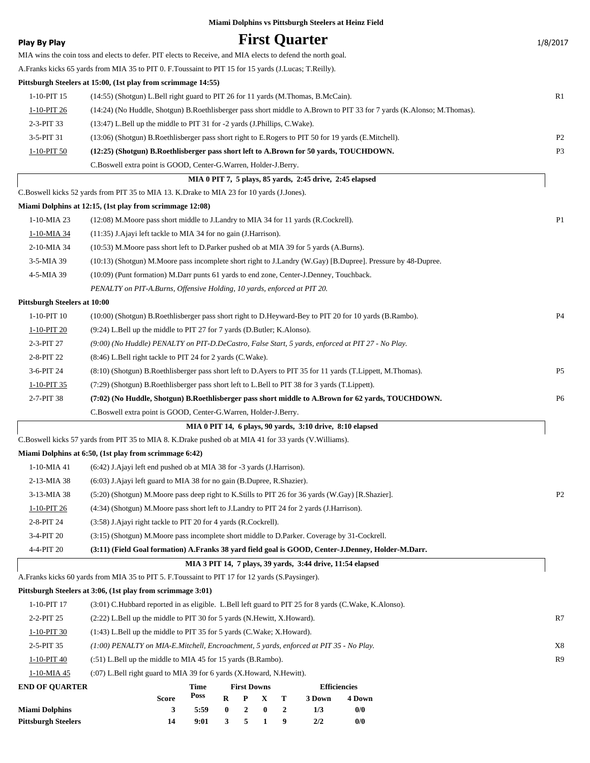|                              | Miami Dolphins vs Pittsburgh Steelers at Heinz Field                                                                   |                |
|------------------------------|------------------------------------------------------------------------------------------------------------------------|----------------|
| <b>Play By Play</b>          | <b>First Quarter</b>                                                                                                   | 1/8/2017       |
|                              | MIA wins the coin toss and elects to defer. PIT elects to Receive, and MIA elects to defend the north goal.            |                |
|                              | A. Franks kicks 65 yards from MIA 35 to PIT 0. F. Toussaint to PIT 15 for 15 yards (J. Lucas; T. Reilly).              |                |
|                              | Pittsburgh Steelers at 15:00, (1st play from scrimmage 14:55)                                                          |                |
| 1-10-PIT 15                  | (14:55) (Shotgun) L.Bell right guard to PIT 26 for 11 yards (M.Thomas, B.McCain).                                      | R1             |
| 1-10-PIT 26                  | (14:24) (No Huddle, Shotgun) B.Roethlisberger pass short middle to A.Brown to PIT 33 for 7 yards (K.Alonso; M.Thomas). |                |
| 2-3-PIT 33                   | (13:47) L.Bell up the middle to PIT 31 for -2 yards (J.Phillips, C.Wake).                                              |                |
| 3-5-PIT 31                   | (13:06) (Shotgun) B.Roethlisberger pass short right to E.Rogers to PIT 50 for 19 yards (E.Mitchell).                   | P <sub>2</sub> |
| 1-10-PIT 50                  | (12:25) (Shotgun) B.Roethlisberger pass short left to A.Brown for 50 yards, TOUCHDOWN.                                 | P <sub>3</sub> |
|                              | C.Boswell extra point is GOOD, Center-G.Warren, Holder-J.Berry.                                                        |                |
|                              | MIA 0 PIT 7, 5 plays, 85 yards, 2:45 drive, 2:45 elapsed                                                               |                |
|                              | C.Boswell kicks 52 yards from PIT 35 to MIA 13. K.Drake to MIA 23 for 10 yards (J.Jones).                              |                |
|                              | Miami Dolphins at 12:15, (1st play from scrimmage 12:08)                                                               |                |
| 1-10-MIA 23                  | (12:08) M. Moore pass short middle to J. Landry to MIA 34 for 11 yards (R. Cockrell).                                  | P <sub>1</sub> |
| 1-10-MIA 34                  | (11:35) J.Ajayi left tackle to MIA 34 for no gain (J.Harrison).                                                        |                |
| 2-10-MIA 34                  | (10:53) M. Moore pass short left to D. Parker pushed ob at MIA 39 for 5 yards (A. Burns).                              |                |
| 3-5-MIA 39                   | (10:13) (Shotgun) M.Moore pass incomplete short right to J.Landry (W.Gay) [B.Dupree]. Pressure by 48-Dupree.           |                |
| 4-5-MIA 39                   | (10:09) (Punt formation) M.Darr punts 61 yards to end zone, Center-J.Denney, Touchback.                                |                |
|                              | PENALTY on PIT-A.Burns, Offensive Holding, 10 yards, enforced at PIT 20.                                               |                |
| Pittsburgh Steelers at 10:00 |                                                                                                                        |                |
| 1-10-PIT 10                  | (10:00) (Shotgun) B.Roethlisberger pass short right to D.Heyward-Bey to PIT 20 for 10 yards (B.Rambo).                 | <b>P4</b>      |
| 1-10-PIT 20                  | (9:24) L.Bell up the middle to PIT 27 for 7 yards (D.Butler; K.Alonso).                                                |                |
| 2-3-PIT 27                   | (9:00) (No Huddle) PENALTY on PIT-D.DeCastro, False Start, 5 yards, enforced at PIT 27 - No Play.                      |                |
| 2-8-PIT 22                   | (8:46) L.Bell right tackle to PIT 24 for 2 yards (C.Wake).                                                             |                |
| 3-6-PIT 24                   | (8:10) (Shotgun) B.Roethlisberger pass short left to D.Ayers to PIT 35 for 11 yards (T.Lippett, M.Thomas).             | P <sub>5</sub> |
| 1-10-PIT 35                  | (7:29) (Shotgun) B.Roethlisberger pass short left to L.Bell to PIT 38 for 3 yards (T.Lippett).                         |                |
| 2-7-PIT 38                   | (7:02) (No Huddle, Shotgun) B.Roethlisberger pass short middle to A.Brown for 62 yards, TOUCHDOWN.                     | P <sub>6</sub> |
|                              | C.Boswell extra point is GOOD, Center-G.Warren, Holder-J.Berry.                                                        |                |
|                              | MIA 0 PIT 14, 6 plays, 90 vards, 3:10 drive, 8:10 elapsed                                                              |                |
|                              | C.Boswell kicks 57 yards from PIT 35 to MIA 8. K.Drake pushed ob at MIA 41 for 33 yards (V.Williams).                  |                |
|                              | Miami Dolphins at 6:50, (1st play from scrimmage 6:42)                                                                 |                |
| 1-10-MIA 41                  | (6:42) J.Ajayi left end pushed ob at MIA 38 for -3 yards (J.Harrison).                                                 |                |
| 2-13-MIA 38                  | (6:03) J.Ajayi left guard to MIA 38 for no gain (B.Dupree, R.Shazier).                                                 |                |
| 3-13-MIA 38                  | (5:20) (Shotgun) M. Moore pass deep right to K. Stills to PIT 26 for 36 yards (W. Gay) [R. Shazier].                   | P <sub>2</sub> |
| 1-10-PIT 26                  | (4:34) (Shotgun) M.Moore pass short left to J.Landry to PIT 24 for 2 yards (J.Harrison).                               |                |
| 2-8-PIT 24                   | (3:58) J.Ajayi right tackle to PIT 20 for 4 yards (R.Cockrell).                                                        |                |
| 3-4-PIT 20                   | (3:15) (Shotgun) M. Moore pass incomplete short middle to D. Parker. Coverage by 31-Cockrell.                          |                |
| 4-4-PIT 20                   | (3:11) (Field Goal formation) A.Franks 38 yard field goal is GOOD, Center-J.Denney, Holder-M.Darr.                     |                |
|                              | MIA 3 PIT 14, 7 plays, 39 yards, 3:44 drive, 11:54 elapsed                                                             |                |
|                              | A. Franks kicks 60 yards from MIA 35 to PIT 5. F. Toussaint to PIT 17 for 12 yards (S. Paysinger).                     |                |
|                              | Pittsburgh Steelers at 3:06, (1st play from scrimmage 3:01)                                                            |                |
| 1-10-PIT 17                  | (3:01) C.Hubbard reported in as eligible. L.Bell left guard to PIT 25 for 8 yards (C.Wake, K.Alonso).                  |                |
| 2-2-PIT 25                   | (2:22) L.Bell up the middle to PIT 30 for 5 yards (N.Hewitt, X.Howard).                                                | R7             |
| 1-10-PIT 30                  | (1:43) L.Bell up the middle to PIT 35 for 5 yards (C.Wake; X.Howard).                                                  |                |
| 2-5-PIT 35                   | $(1:00)$ PENALTY on MIA-E.Mitchell, Encroachment, 5 yards, enforced at PIT 35 - No Play.                               | X8             |
| 1-10-PIT 40                  | (:51) L.Bell up the middle to MIA 45 for 15 yards (B.Rambo).                                                           | R9             |
| 1-10-MIA 45                  | $(0.07)$ L.Bell right guard to MIA 39 for 6 yards $(X)$ . Howard, N.Hewitt).                                           |                |
| <b>FND OF OUA RTFR</b>       | <b>Efficiencies</b><br>Time<br><b>First Downs</b>                                                                      |                |

| <b>END OF OUARTER</b>      |              | Time | <b>First Downs</b> |                             |        | <b>Efficiencies</b> |
|----------------------------|--------------|------|--------------------|-----------------------------|--------|---------------------|
|                            | <b>Score</b> | Poss |                    | $R$ $P$ $X$ $T$             | 3 Down | 4 Down              |
| <b>Miami Dolphins</b>      |              | 5:59 |                    | $0 \quad 2 \quad 0 \quad 2$ | 173    | 0/0                 |
| <b>Pittsburgh Steelers</b> | 14           | 9:01 |                    | 3 5 1                       | 2/2    | 0/0                 |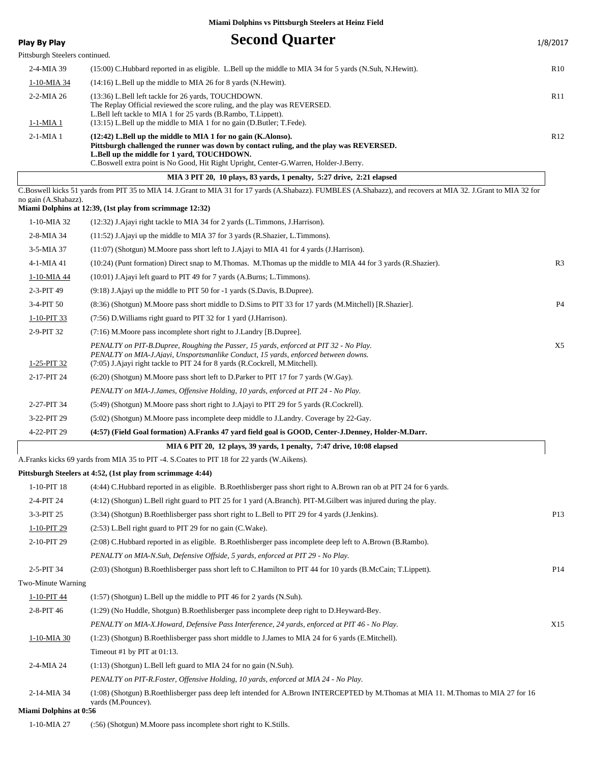| Play By Play                   | <b>Second Quarter</b>                                                                                                                                                                                                                                                                            | 1/8/2017        |
|--------------------------------|--------------------------------------------------------------------------------------------------------------------------------------------------------------------------------------------------------------------------------------------------------------------------------------------------|-----------------|
| Pittsburgh Steelers continued. |                                                                                                                                                                                                                                                                                                  |                 |
| 2-4-MIA 39                     | (15:00) C.Hubbard reported in as eligible. L.Bell up the middle to MIA 34 for 5 yards (N.Suh, N.Hewitt).                                                                                                                                                                                         | R10             |
| 1-10-MIA 34                    | $(14:16)$ L.Bell up the middle to MIA 26 for 8 yards (N.Hewitt).                                                                                                                                                                                                                                 |                 |
| 2-2-MIA 26<br>$1-1-MIA$ 1      | (13:36) L.Bell left tackle for 26 yards, TOUCHDOWN.<br>The Replay Official reviewed the score ruling, and the play was REVERSED.<br>L. Bell left tackle to MIA 1 for 25 yards (B. Rambo, T. Lippett).<br>(13:15) L.Bell up the middle to MIA 1 for no gain (D.Butler; T.Fede).                   | R11             |
| $2-1-MIA$ 1                    | (12:42) L.Bell up the middle to MIA 1 for no gain (K.Alonso).<br>Pittsburgh challenged the runner was down by contact ruling, and the play was REVERSED.<br>L.Bell up the middle for 1 yard, TOUCHDOWN.<br>C.Boswell extra point is No Good, Hit Right Upright, Center-G.Warren, Holder-J.Berry. | R12             |
|                                | MIA 3 PIT 20, 10 plays, 83 yards, 1 penalty, 5:27 drive, 2:21 elapsed                                                                                                                                                                                                                            |                 |
|                                | C.Boswell kicks 51 yards from PIT 35 to MIA 14. J.Grant to MIA 31 for 17 yards (A.Shabazz). FUMBLES (A.Shabazz), and recovers at MIA 32. J.Grant to MIA 32 for                                                                                                                                   |                 |
| no gain (A.Shabazz).           |                                                                                                                                                                                                                                                                                                  |                 |
|                                | Miami Dolphins at 12:39, (1st play from scrimmage 12:32)                                                                                                                                                                                                                                         |                 |
| 1-10-MIA 32                    | (12:32) J. Ajayi right tackle to MIA 34 for 2 yards (L. Timmons, J. Harrison).                                                                                                                                                                                                                   |                 |
| 2-8-MIA 34                     | $(11:52)$ J. Ajayi up the middle to MIA 37 for 3 yards (R. Shazier, L. Timmons).                                                                                                                                                                                                                 |                 |
| 3-5-MIA 37                     | (11:07) (Shotgun) M. Moore pass short left to J. Ajayi to MIA 41 for 4 yards (J. Harrison).                                                                                                                                                                                                      |                 |
| 4-1-MIA 41                     | (10:24) (Punt formation) Direct snap to M.Thomas. M.Thomas up the middle to MIA 44 for 3 yards (R.Shazier).                                                                                                                                                                                      | R <sub>3</sub>  |
| 1-10-MIA 44                    | (10:01) J.Ajayi left guard to PIT 49 for 7 yards (A.Burns; L.Timmons).                                                                                                                                                                                                                           |                 |
| 2-3-PIT 49                     | (9:18) J. Ajayi up the middle to PIT 50 for -1 yards (S. Davis, B. Dupree).                                                                                                                                                                                                                      |                 |
| 3-4-PIT 50                     | (8:36) (Shotgun) M.Moore pass short middle to D.Sims to PIT 33 for 17 yards (M.Mitchell) [R.Shazier].                                                                                                                                                                                            | P <sub>4</sub>  |
| 1-10-PIT 33                    | (7:56) D. Williams right guard to PIT 32 for 1 yard (J. Harrison).                                                                                                                                                                                                                               |                 |
| 2-9-PIT 32                     | (7:16) M. Moore pass incomplete short right to J. Landry [B. Dupree].                                                                                                                                                                                                                            |                 |
| $1-25-PIT$ 32                  | PENALTY on PIT-B.Dupree, Roughing the Passer, 15 yards, enforced at PIT 32 - No Play.<br>PENALTY on MIA-J.Ajayi, Unsportsmanlike Conduct, 15 yards, enforced between downs.<br>(7:05) J.Ajayi right tackle to PIT 24 for 8 yards (R.Cockrell, M.Mitchell).                                       | X5              |
| 2-17-PIT 24                    | (6:20) (Shotgun) M.Moore pass short left to D.Parker to PIT 17 for 7 yards (W.Gay).                                                                                                                                                                                                              |                 |
|                                | PENALTY on MIA-J.James, Offensive Holding, 10 yards, enforced at PIT 24 - No Play.                                                                                                                                                                                                               |                 |
| 2-27-PIT 34                    | (5:49) (Shotgun) M.Moore pass short right to J.Ajayi to PIT 29 for 5 yards (R.Cockrell).                                                                                                                                                                                                         |                 |
| 3-22-PIT 29                    | (5:02) (Shotgun) M. Moore pass incomplete deep middle to J. Landry. Coverage by 22-Gay.                                                                                                                                                                                                          |                 |
| 4-22-PIT 29                    | (4:57) (Field Goal formation) A.Franks 47 yard field goal is GOOD, Center-J.Denney, Holder-M.Darr.                                                                                                                                                                                               |                 |
|                                | MIA 6 PIT 20, 12 plays, 39 yards, 1 penalty, 7:47 drive, 10:08 elapsed                                                                                                                                                                                                                           |                 |
|                                | A. Franks kicks 69 yards from MIA 35 to PIT -4. S. Coates to PIT 18 for 22 yards (W. Aikens).                                                                                                                                                                                                    |                 |
|                                | Pittsburgh Steelers at 4:52, (1st play from scrimmage 4:44)                                                                                                                                                                                                                                      |                 |
| 1-10-PIT 18                    | (4:44) C.Hubbard reported in as eligible. B.Roethlisberger pass short right to A.Brown ran ob at PIT 24 for 6 yards.                                                                                                                                                                             |                 |
| 2-4-PIT 24                     | (4:12) (Shotgun) L.Bell right guard to PIT 25 for 1 yard (A.Branch). PIT-M.Gilbert was injured during the play.                                                                                                                                                                                  |                 |
| 3-3-PIT 25                     | (3:34) (Shotgun) B.Roethlisberger pass short right to L.Bell to PIT 29 for 4 yards (J.Jenkins).                                                                                                                                                                                                  | P <sub>13</sub> |
| 1-10-PIT 29                    | (2:53) L.Bell right guard to PIT 29 for no gain (C.Wake).                                                                                                                                                                                                                                        |                 |
| 2-10-PIT 29                    | (2:08) C.Hubbard reported in as eligible. B.Roethlisberger pass incomplete deep left to A.Brown (B.Rambo).                                                                                                                                                                                       |                 |
|                                | PENALTY on MIA-N.Suh, Defensive Offside, 5 yards, enforced at PIT 29 - No Play.                                                                                                                                                                                                                  |                 |
| 2-5-PIT 34                     | (2:03) (Shotgun) B.Roethlisberger pass short left to C.Hamilton to PIT 44 for 10 yards (B.McCain; T.Lippett).                                                                                                                                                                                    | P14             |
| Two-Minute Warning             |                                                                                                                                                                                                                                                                                                  |                 |
| 1-10-PIT 44                    | $(1:57)$ (Shotgun) L.Bell up the middle to PIT 46 for 2 yards (N.Suh).                                                                                                                                                                                                                           |                 |
| 2-8-PIT 46                     | (1:29) (No Huddle, Shotgun) B.Roethlisberger pass incomplete deep right to D.Heyward-Bey.                                                                                                                                                                                                        |                 |
|                                | PENALTY on MIA-X.Howard, Defensive Pass Interference, 24 yards, enforced at PIT 46 - No Play.                                                                                                                                                                                                    | X15             |
| 1-10-MIA 30                    | (1:23) (Shotgun) B.Roethlisberger pass short middle to J.James to MIA 24 for 6 yards (E.Mitchell).                                                                                                                                                                                               |                 |
|                                | Timeout #1 by PIT at 01:13.                                                                                                                                                                                                                                                                      |                 |
| 2-4-MIA 24                     | (1:13) (Shotgun) L.Bell left guard to MIA 24 for no gain (N.Suh).                                                                                                                                                                                                                                |                 |
|                                | PENALTY on PIT-R. Foster, Offensive Holding, 10 yards, enforced at MIA 24 - No Play.                                                                                                                                                                                                             |                 |
| 2-14-MIA 34                    | (1:08) (Shotgun) B.Roethlisberger pass deep left intended for A.Brown INTERCEPTED by M.Thomas at MIA 11. M.Thomas to MIA 27 for 16<br>yards (M.Pouncey).                                                                                                                                         |                 |
| Miami Dolphins at 0:56         |                                                                                                                                                                                                                                                                                                  |                 |

1-10-MIA 27 (:56) (Shotgun) M.Moore pass incomplete short right to K.Stills.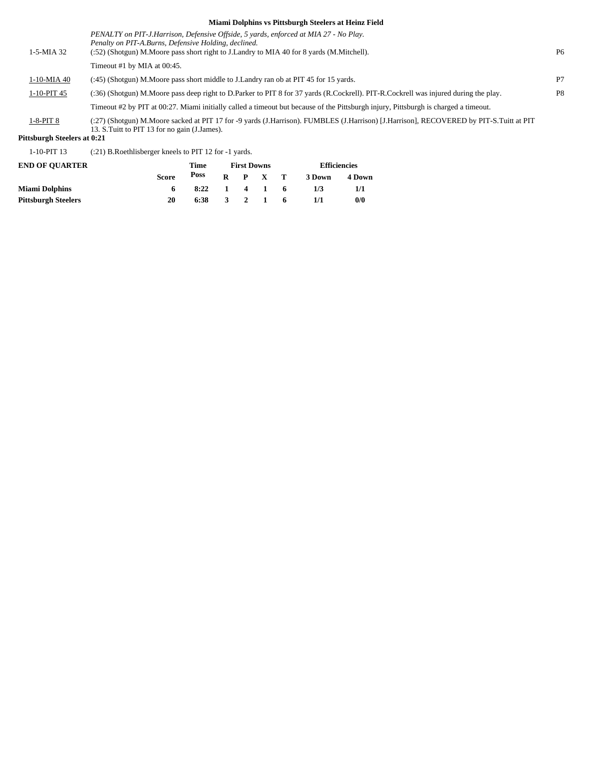## **Miami Dolphins vs Pittsburgh Steelers at Heinz Field**

| $1 - 5 - MIA$ 32                   | PENALTY on PIT-J.Harrison, Defensive Offside, 5 yards, enforced at MIA 27 - No Play.<br>Penalty on PIT-A.Burns, Defensive Holding, declined.<br>(:52) (Shotgun) M.Moore pass short right to J.Landry to MIA 40 for 8 yards (M.Mitchell). | P <sub>6</sub> |
|------------------------------------|------------------------------------------------------------------------------------------------------------------------------------------------------------------------------------------------------------------------------------------|----------------|
|                                    | Timeout #1 by MIA at 00:45.                                                                                                                                                                                                              |                |
| 1-10-MIA 40                        | (:45) (Shotgun) M. Moore pass short middle to J. Landry ran ob at PIT 45 for 15 yards.                                                                                                                                                   | P7             |
| 1-10-PIT 45                        | (:36) (Shotgun) M.Moore pass deep right to D.Parker to PIT 8 for 37 yards (R.Cockrell). PIT-R.Cockrell was injured during the play.                                                                                                      | P <sub>8</sub> |
|                                    | Timeout #2 by PIT at 00:27. Miami initially called a timeout but because of the Pittsburgh injury, Pittsburgh is charged a timeout.                                                                                                      |                |
| $1-8-PIT8$                         | (:27) (Shotgun) M.Moore sacked at PIT 17 for -9 yards (J.Harrison). FUMBLES (J.Harrison) [J.Harrison], RECOVERED by PIT-S.Tuitt at PIT<br>13. S. Tuitt to PIT 13 for no gain (J. James).                                                 |                |
| <b>Pittsburgh Steelers at 0:21</b> |                                                                                                                                                                                                                                          |                |

1-10-PIT 13 (:21) B.Roethlisberger kneels to PIT 12 for -1 yards.

| <b>END OF OUARTER</b>      |              | Time                                   | <b>First Downs</b> |  |                 |  | <b>Efficiencies</b> |        |
|----------------------------|--------------|----------------------------------------|--------------------|--|-----------------|--|---------------------|--------|
|                            | <b>Score</b> | Poss                                   |                    |  | $R$ $P$ $X$ $T$ |  | 3 Down              | 4 Down |
| <b>Miami Dolphins</b>      | 6.           | $8:22 \quad 1 \quad 4 \quad 1 \quad 6$ |                    |  |                 |  | 1/3                 | 1/1    |
| <b>Pittsburgh Steelers</b> | 20           | 6:38                                   |                    |  | 3 2 1 6         |  |                     | 0/0    |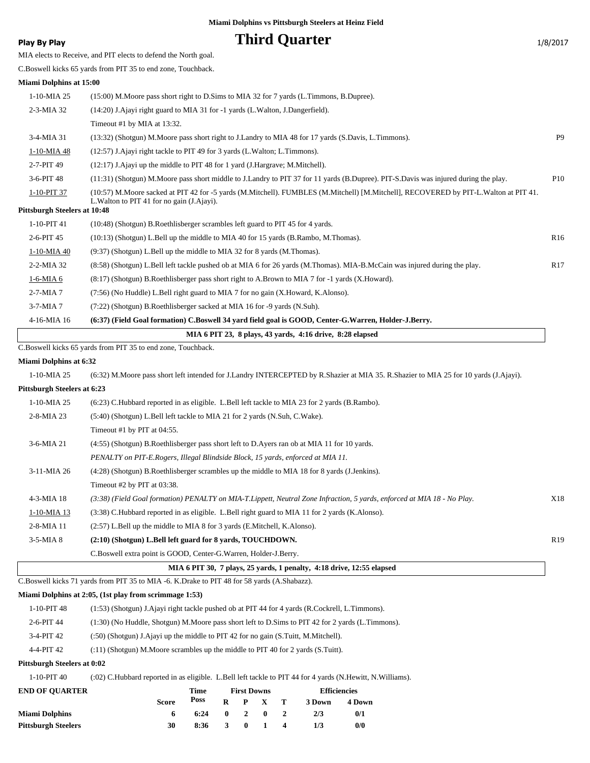## **Play By Play Play Play Play Play By Play Play By Play Play By Play Play Play Play Play Play Play Play Play Play Play Play Play Play Play Play Play Play Play Play Play**

MIA elects to Receive, and PIT elects to defend the North goal.

C.Boswell kicks 65 yards from PIT 35 to end zone, Touchback.

### **Miami Dolphins at 15:00**

| MIA 6 PIT 23, 8 plays, 43 yards, 4:16 drive, 8:28 elapsed |                                                                                                                                                                                    |                 |  |  |  |  |  |
|-----------------------------------------------------------|------------------------------------------------------------------------------------------------------------------------------------------------------------------------------------|-----------------|--|--|--|--|--|
| 4-16-MIA 16                                               | (6:37) (Field Goal formation) C.Boswell 34 yard field goal is GOOD, Center-G.Warren, Holder-J.Berry.                                                                               |                 |  |  |  |  |  |
| $3-7-MIA7$                                                | (7:22) (Shotgun) B.Roethlisberger sacked at MIA 16 for -9 yards (N.Suh).                                                                                                           |                 |  |  |  |  |  |
| $2-7-MIA7$                                                | (7:56) (No Huddle) L.Bell right guard to MIA 7 for no gain (X.Howard, K.Alonso).                                                                                                   |                 |  |  |  |  |  |
| $1-6$ -MIA $6$                                            | (8:17) (Shotgun) B.Roethlisberger pass short right to A.Brown to MIA 7 for -1 yards (X.Howard).                                                                                    |                 |  |  |  |  |  |
| $2 - 2 - MIA$ 32                                          | (8:58) (Shotgun) L.Bell left tackle pushed ob at MIA 6 for 26 yards (M.Thomas). MIA-B.McCain was injured during the play.                                                          | R17             |  |  |  |  |  |
| 1-10-MIA 40                                               | (9:37) (Shotgun) L.Bell up the middle to MIA 32 for 8 yards (M.Thomas).                                                                                                            |                 |  |  |  |  |  |
| 2-6-PIT 45                                                | (10:13) (Shotgun) L.Bell up the middle to MIA 40 for 15 yards (B.Rambo, M.Thomas).                                                                                                 | R <sub>16</sub> |  |  |  |  |  |
| 1-10-PIT 41                                               | (10:48) (Shotgun) B.Roethlisberger scrambles left guard to PIT 45 for 4 yards.                                                                                                     |                 |  |  |  |  |  |
| Pittsburgh Steelers at 10:48                              |                                                                                                                                                                                    |                 |  |  |  |  |  |
| 1-10-PIT 37                                               | (10:57) M.Moore sacked at PIT 42 for -5 yards (M.Mitchell). FUMBLES (M.Mitchell) [M.Mitchell], RECOVERED by PIT-L.Walton at PIT 41.<br>L. Walton to PIT 41 for no gain (J. Ajayi). |                 |  |  |  |  |  |
| 3-6-PIT 48                                                | (11:31) (Shotgun) M.Moore pass short middle to J.Landry to PIT 37 for 11 yards (B.Dupree). PIT-S.Davis was injured during the play.                                                | P <sub>10</sub> |  |  |  |  |  |
| 2-7-PIT 49                                                | $(12:17)$ J. A jay iup the middle to PIT 48 for 1 yard (J. Hargrave; M. Mitchell).                                                                                                 |                 |  |  |  |  |  |
| 1-10-MIA 48                                               | (12:57) J. Ajayi right tackle to PIT 49 for 3 yards (L. Walton; L. Timmons).                                                                                                       |                 |  |  |  |  |  |
| 3-4-MIA 31                                                | (13:32) (Shotgun) M. Moore pass short right to J. Landry to MIA 48 for 17 yards (S. Davis, L. Timmons).                                                                            | P <sub>9</sub>  |  |  |  |  |  |
|                                                           | Timeout #1 by MIA at 13:32.                                                                                                                                                        |                 |  |  |  |  |  |
| 2-3-MIA 32                                                | (14:20) J. Ajayi right guard to MIA 31 for -1 yards (L. Walton, J. Dangerfield).                                                                                                   |                 |  |  |  |  |  |
| $1-10-MIA$ 25                                             | (15:00) M. Moore pass short right to D. Sims to MIA 32 for 7 yards (L. Timmons, B. Dupree).                                                                                        |                 |  |  |  |  |  |
|                                                           |                                                                                                                                                                                    |                 |  |  |  |  |  |

C.Boswell kicks 65 yards from PIT 35 to end zone, Touchback.

### **Miami Dolphins at 6:32**

1-10-MIA 25 (6:32) M.Moore pass short left intended for J.Landry INTERCEPTED by R.Shazier at MIA 35. R.Shazier to MIA 25 for 10 yards (J.Ajayi).

### **Pittsburgh Steelers at 6:23**

| $1-10-MIA$ 25 | (6.23) C.Hubbard reported in as eligible. L.Bell left tackle to MIA 23 for 2 yards (B.Rambo).                           |                 |
|---------------|-------------------------------------------------------------------------------------------------------------------------|-----------------|
| $2-8-MIA$ 23  | (5:40) (Shotgun) L.Bell left tackle to MIA 21 for 2 yards (N.Suh, C.Wake).                                              |                 |
|               | Timeout #1 by PIT at $04:55$ .                                                                                          |                 |
| $3-6$ -MIA 21 | (4.55) (Shotgun) B.Roethlisberger pass short left to D.Ayers ran ob at MIA 11 for 10 yards.                             |                 |
|               | PENALTY on PIT-E.Rogers, Illegal Blindside Block, 15 yards, enforced at MIA 11.                                         |                 |
| $3-11-MIA$ 26 | $(4:28)$ (Shotgun) B. Roethlisberger scrambles up the middle to MIA 18 for 8 yards (J. Jenkins).                        |                 |
|               | Timeout #2 by PIT at 03:38.                                                                                             |                 |
| $4-3-MIA$ 18  | (3:38) (Field Goal formation) PENALTY on MIA-T.Lippett, Neutral Zone Infraction, 5 yards, enforced at MIA 18 - No Play. | X18             |
| $1-10-MIA$ 13 | (3:38) C.Hubbard reported in as eligible. L.Bell right guard to MIA 11 for 2 yards (K.Alonso).                          |                 |
| $2-8-MIA$ 11  | (2:57) L.Bell up the middle to MIA 8 for 3 yards (E.Mitchell, K.Alonso).                                                |                 |
| $3-5-MIA8$    | (2:10) (Shotgun) L.Bell left guard for 8 yards, TOUCHDOWN.                                                              | R <sub>19</sub> |
|               | C.Boswell extra point is GOOD, Center-G.Warren, Holder-J.Berry.                                                         |                 |

## **MIA 6 PIT 30, 7 plays, 25 yards, 1 penalty, 4:18 drive, 12:55 elapsed**

C.Boswell kicks 71 yards from PIT 35 to MIA -6. K.Drake to PIT 48 for 58 yards (A.Shabazz).

### **Miami Dolphins at 2:05, (1st play from scrimmage 1:53)**

| $1-10-PIT$ 48 | (1:53) (Shotgun) J.Ajayi right tackle pushed ob at PIT 44 for 4 yards (R.Cockrell, L.Timmons).   |
|---------------|--------------------------------------------------------------------------------------------------|
| 2-6-PIT 44    | (1:30) (No Huddle, Shotgun) M.Moore pass short left to D.Sims to PIT 42 for 2 yards (L.Timmons). |
| $3-4-PIT$ 42  | $(50)$ (Shotgun) J. Ajayi up the middle to PIT 42 for no gain (S. Tuitt, M. Mitchell).           |
| $4-4-PIT$ 42  | $(3.11)$ (Shotgun) M. Moore scrambles up the middle to PIT 40 for 2 yards (S. Tuitt).            |

### **Pittsburgh Steelers at 0:02**

1-10-PIT 40 (:02) C.Hubbard reported in as eligible. L.Bell left tackle to PIT 44 for 4 yards (N.Hewitt, N.Williams).

| <b>END OF OUARTER</b>      | Time         | <b>First Downs</b> |              |              |                 | <b>Efficiencies</b> |        |        |
|----------------------------|--------------|--------------------|--------------|--------------|-----------------|---------------------|--------|--------|
|                            | <b>Score</b> | Poss               |              |              | $R$ $P$ $X$ $T$ |                     | 3 Down | 4 Down |
| <b>Miami Dolphins</b>      | 6.           | $6:24$ 0 2 0 2     |              |              |                 |                     | 2/3    | 0/1    |
| <b>Pittsburgh Steelers</b> | 30           | 8:36               | $\mathbf{3}$ | $\mathbf{0}$ | $\sim$ 1        | $\mathbf 4$         | 1/3    | 0/0    |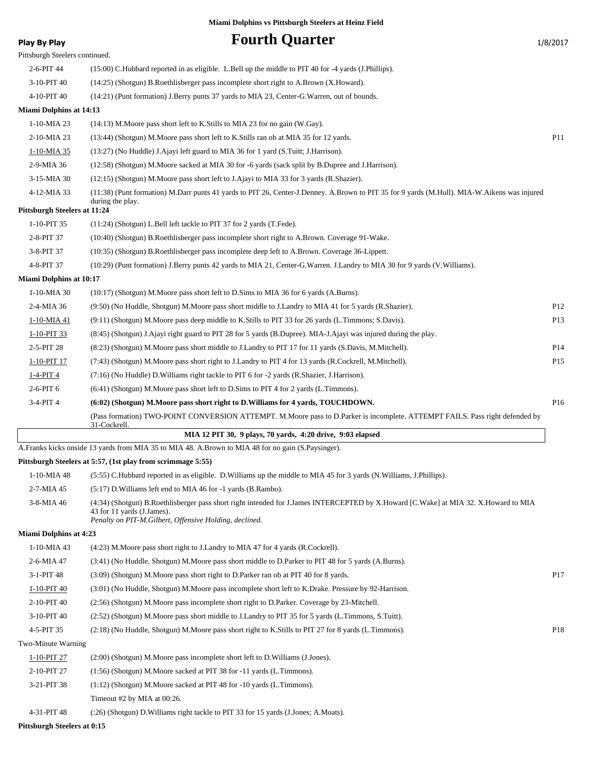## **Play By Play Play Play Play Play Play Fourth Quarter** 1/8/2017

| Pittsburgh Steelers continued.                     |                                                                                                                                                                                                                             |                 |
|----------------------------------------------------|-----------------------------------------------------------------------------------------------------------------------------------------------------------------------------------------------------------------------------|-----------------|
| 2-6-PIT 44                                         | (15:00) C.Hubbard reported in as eligible. L.Bell up the middle to PIT 40 for -4 yards (J.Phillips).                                                                                                                        |                 |
| 3-10-PIT 40                                        | (14:25) (Shotgun) B.Roethlisberger pass incomplete short right to A.Brown (X.Howard).                                                                                                                                       |                 |
| 4-10-PIT 40                                        | (14:21) (Punt formation) J.Berry punts 37 yards to MIA 23, Center-G.Warren, out of bounds.                                                                                                                                  |                 |
| <b>Miami Dolphins at 14:13</b>                     |                                                                                                                                                                                                                             |                 |
| $1-10-MIA$ 23                                      | $(14:13)$ M. Moore pass short left to K. Stills to MIA 23 for no gain (W. Gay).                                                                                                                                             |                 |
| 2-10-MIA 23                                        | (13:44) (Shotgun) M.Moore pass short left to K.Stills ran ob at MIA 35 for 12 yards.                                                                                                                                        | P <sub>11</sub> |
| 1-10-MIA 35                                        | (13:27) (No Huddle) J.Ajayi left guard to MIA 36 for 1 yard (S.Tuitt; J.Harrison).                                                                                                                                          |                 |
| 2-9-MIA 36                                         | (12:58) (Shotgun) M.Moore sacked at MIA 30 for -6 yards (sack split by B.Dupree and J.Harrison).                                                                                                                            |                 |
| 3-15-MIA 30                                        | (12:15) (Shotgun) M.Moore pass short left to J.Ajayi to MIA 33 for 3 yards (R.Shazier).                                                                                                                                     |                 |
| 4-12-MIA 33<br><b>Pittsburgh Steelers at 11:24</b> | (11:38) (Punt formation) M.Darr punts 41 yards to PIT 26, Center-J.Denney. A.Brown to PIT 35 for 9 yards (M.Hull). MIA-W.Aikens was injured<br>during the play.                                                             |                 |
| 1-10-PIT 35                                        | (11:24) (Shotgun) L.Bell left tackle to PIT 37 for 2 yards (T.Fede).                                                                                                                                                        |                 |
| 2-8-PIT 37                                         | (10:40) (Shotgun) B.Roethlisberger pass incomplete short right to A.Brown. Coverage 91-Wake.                                                                                                                                |                 |
| 3-8-PIT 37                                         | (10:35) (Shotgun) B.Roethlisberger pass incomplete deep left to A.Brown. Coverage 36-Lippett.                                                                                                                               |                 |
|                                                    |                                                                                                                                                                                                                             |                 |
| 4-8-PIT 37                                         | (10:29) (Punt formation) J.Berry punts 42 yards to MIA 21, Center-G.Warren. J.Landry to MIA 30 for 9 yards (V.Williams).                                                                                                    |                 |
| <b>Miami Dolphins at 10:17</b>                     |                                                                                                                                                                                                                             |                 |
| 1-10-MIA 30                                        | (10:17) (Shotgun) M. Moore pass short left to D. Sims to MIA 36 for 6 yards (A. Burns).                                                                                                                                     |                 |
| 2-4-MIA 36                                         | (9:50) (No Huddle, Shotgun) M.Moore pass short middle to J.Landry to MIA 41 for 5 yards (R.Shazier).                                                                                                                        | P12             |
| 1-10-MIA 41                                        | (9:11) (Shotgun) M.Moore pass deep middle to K.Stills to PIT 33 for 26 yards (L.Timmons; S.Davis).                                                                                                                          | P <sub>13</sub> |
| $1-10-PIT$ 33                                      | (8.45) (Shotgun) J.Ajayi right guard to PIT 28 for 5 yards (B.Dupree). MIA-J.Ajayi was injured during the play.                                                                                                             |                 |
| 2-5-PIT 28                                         | (8.23) (Shotgun) M.Moore pass short middle to J.Landry to PIT 17 for 11 yards (S.Davis, M.Mitchell).                                                                                                                        | P <sub>14</sub> |
| 1-10-PIT 17                                        | (7:43) (Shotgun) M.Moore pass short right to J.Landry to PIT 4 for 13 yards (R.Cockrell, M.Mitchell).                                                                                                                       | P <sub>15</sub> |
| 1-4-PIT 4                                          | (7:16) (No Huddle) D. Williams right tackle to PIT 6 for -2 yards (R. Shazier, J. Harrison).                                                                                                                                |                 |
| $2-6-PIT6$                                         | $(6:41)$ (Shotgun) M. Moore pass short left to D. Sims to PIT 4 for 2 yards (L. Timmons).                                                                                                                                   |                 |
| 3-4-PIT 4                                          | (6:02) (Shotgun) M.Moore pass short right to D.Williams for 4 yards, TOUCHDOWN.                                                                                                                                             | P16             |
|                                                    | (Pass formation) TWO-POINT CONVERSION ATTEMPT. M.Moore pass to D.Parker is incomplete. ATTEMPT FAILS. Pass right defended by<br><u>31-Cockrell.</u>                                                                         |                 |
|                                                    | MIA 12 PIT 30, 9 plays, 70 yards, 4:20 drive, 9:03 elapsed                                                                                                                                                                  |                 |
|                                                    | A. Franks kicks onside 13 yards from MIA 35 to MIA 48. A. Brown to MIA 48 for no gain (S. Paysinger).                                                                                                                       |                 |
|                                                    | Pittsburgh Steelers at 5:57, (1st play from scrimmage 5:55)                                                                                                                                                                 |                 |
| $1-10-MIA$ 48                                      | (5:55) C.Hubbard reported in as eligible. D.Williams up the middle to MIA 45 for 3 yards (N.Williams, J.Phillips).                                                                                                          |                 |
| 2-7-MIA 45                                         | (5:17) D. Williams left end to MIA 46 for -1 yards (B. Rambo).                                                                                                                                                              |                 |
| 3-8-MIA 46                                         | (4:34) (Shotgun) B.Roethlisberger pass short right intended for J.James INTERCEPTED by X.Howard [C.Wake] at MIA 32. X.Howard to MIA<br>43 for 11 yards (J.James).<br>Penalty on PIT-M.Gilbert, Offensive Holding, declined. |                 |
| <b>Miami Dolphins at 4:23</b>                      |                                                                                                                                                                                                                             |                 |
| 1-10-MIA 43                                        | $(4:23)$ M. Moore pass short right to J. Landry to MIA 47 for 4 yards (R. Cockrell).                                                                                                                                        |                 |
| 2-6-MIA 47                                         | (3.41) (No Huddle, Shotgun) M.Moore pass short middle to D.Parker to PIT 48 for 5 yards (A.Burns).                                                                                                                          |                 |
| 3-1-PIT 48                                         | (3:09) (Shotgun) M.Moore pass short right to D.Parker ran ob at PIT 40 for 8 yards.                                                                                                                                         | P17             |
| 1-10-PIT 40                                        | (3:01) (No Huddle, Shotgun) M.Moore pass incomplete short left to K.Drake. Pressure by 92-Harrison.                                                                                                                         |                 |
| 2-10-PIT 40                                        | (2:56) (Shotgun) M. Moore pass incomplete short right to D. Parker. Coverage by 23-Mitchell.                                                                                                                                |                 |
| 3-10-PIT 40                                        | (2.52) (Shotgun) M.Moore pass short middle to J.Landry to PIT 35 for 5 yards (L.Timmons, S.Tuitt).                                                                                                                          |                 |
| 4-5-PIT 35                                         | (2:18) (No Huddle, Shotgun) M.Moore pass short right to K.Stills to PIT 27 for 8 yards (L.Timmons).                                                                                                                         | P <sub>18</sub> |
| Two-Minute Warning                                 |                                                                                                                                                                                                                             |                 |
| 1-10-PIT 27                                        | (2:00) (Shotgun) M. Moore pass incomplete short left to D. Williams (J. Jones).                                                                                                                                             |                 |
| 2-10-PIT 27                                        | (1:56) (Shotgun) M.Moore sacked at PIT 38 for -11 yards (L.Timmons).                                                                                                                                                        |                 |
| 3-21-PIT 38                                        | $(1:12)$ (Shotgun) M.Moore sacked at PIT 48 for -10 yards (L.Timmons).                                                                                                                                                      |                 |
|                                                    | Timeout #2 by MIA at $00:26$ .                                                                                                                                                                                              |                 |
| 4-31-PIT 48                                        | (:26) (Shotgun) D. Williams right tackle to PIT 33 for 15 yards (J.Jones; A.Moats).                                                                                                                                         |                 |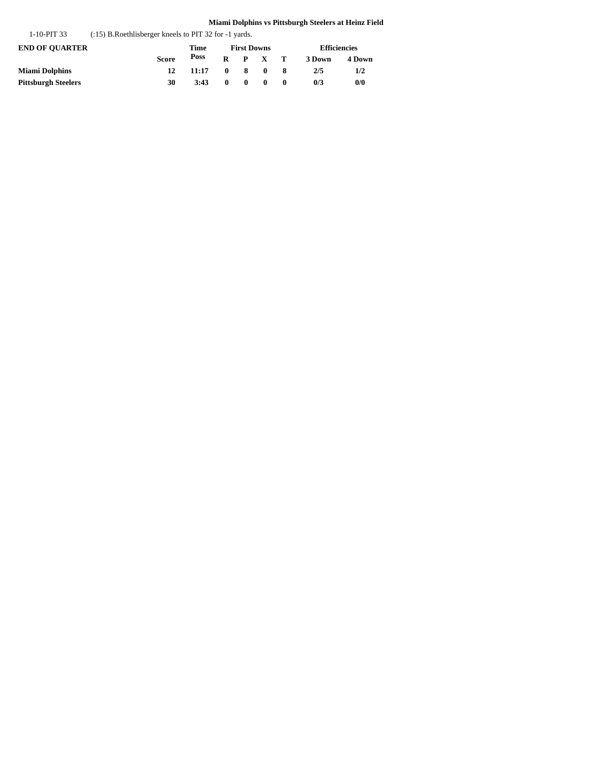## **Miami Dolphins vs Pittsburgh Steelers at Heinz Field**

| $1-10-PIT$ 33<br>$(15)$ B. Roethlisberger kneels to PIT 32 for $-1$ yards. |              |                    |              |              |              |                     |        |        |
|----------------------------------------------------------------------------|--------------|--------------------|--------------|--------------|--------------|---------------------|--------|--------|
| <b>END OF OUARTER</b>                                                      | Time         | <b>First Downs</b> |              |              |              | <b>Efficiencies</b> |        |        |
|                                                                            | <b>Score</b> | Poss               |              |              | $R$ $P$ $X$  | т                   | 3 Down | 4 Down |
| <b>Miami Dolphins</b>                                                      | 12           | 11:17              | 0            | -8           | $\mathbf{0}$ |                     | 2/5    | 1/2    |
| <b>Pittsburgh Steelers</b>                                                 | 30           | 3:43               | $\mathbf{0}$ | $\mathbf{0}$ | $\mathbf{0}$ | $\mathbf{0}$        | 0/3    | 0/0    |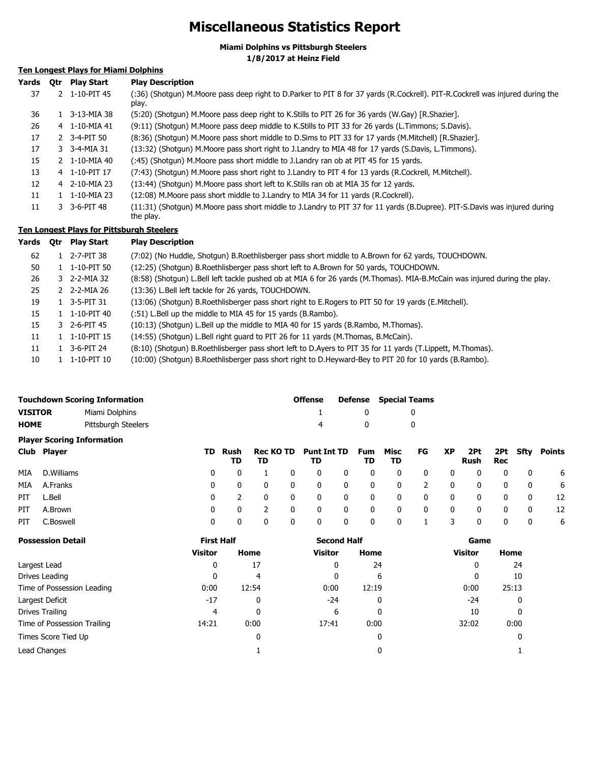## **Miscellaneous Statistics Report**

**Miami Dolphins vs Pittsburgh Steelers**

**1/8/2017 at Heinz Field**

## **Ten Longest Plays for Miami Dolphins**

| Yards | <b>Otr</b> | <b>Play Start</b>         | <b>Play Description</b>                                                                                                                |
|-------|------------|---------------------------|----------------------------------------------------------------------------------------------------------------------------------------|
| 37    |            | 2 1-10-PIT 45             | (:36) (Shotgun) M.Moore pass deep right to D.Parker to PIT 8 for 37 yards (R.Cockrell). PIT-R.Cockrell was injured during the<br>play. |
| 36    |            | L 3-13-MIA 38             | (5:20) (Shotgun) M. Moore pass deep right to K. Stills to PIT 26 for 36 yards (W. Gay) [R. Shazier].                                   |
| 26    |            | 4 1-10-MIA 41             | (9:11) (Shotgun) M. Moore pass deep middle to K. Stills to PIT 33 for 26 yards (L. Timmons; S. Davis).                                 |
| 17    |            | 2 3-4-PIT 50              | (8:36) (Shotgun) M.Moore pass short middle to D.Sims to PIT 33 for 17 yards (M.Mitchell) [R.Shazier].                                  |
| 17    |            | 3 3-4-MIA 31              | (13:32) (Shotgun) M.Moore pass short right to J.Landry to MIA 48 for 17 yards (S.Davis, L.Timmons).                                    |
| 15    |            | 2 1-10-MIA 40             | (:45) (Shotgun) M. Moore pass short middle to J. Landry ran ob at PIT 45 for 15 yards.                                                 |
| 13    |            | 4 1-10-PIT 17             | (7:43) (Shotgun) M.Moore pass short right to J.Landry to PIT 4 for 13 yards (R.Cockrell, M.Mitchell).                                  |
| 12    |            | 4 2-10-MIA 23             | (13:44) (Shotqun) M. Moore pass short left to K. Stills ran ob at MIA 35 for 12 yards.                                                 |
| 11    |            | $1 \quad 1 - 10 - MIA$ 23 | (12:08) M. Moore pass short middle to J. Landry to MIA 34 for 11 yards (R. Cockrell).                                                  |
| 11    |            | 3 3-6-PIT 48              | (11:31) (Shotgun) M.Moore pass short middle to J.Landry to PIT 37 for 11 yards (B.Dupree). PIT-S.Davis was injured during<br>the play. |
|       |            |                           | Tan Langast Diava fay Dittabuwah Chaalays                                                                                              |

### **Ten Longest Plays for Pittsburgh Steelers**

| Yards | <b>Otr</b> | <b>Play Start</b>        | <b>Play Description</b>                                                                                                   |
|-------|------------|--------------------------|---------------------------------------------------------------------------------------------------------------------------|
| 62    |            | 1 2-7-PIT 38             | (7:02) (No Huddle, Shotgun) B.Roethlisberger pass short middle to A.Brown for 62 yards, TOUCHDOWN.                        |
| 50    |            | $1 \quad 1 - 10 - PIT50$ | (12:25) (Shotgun) B.Roethlisberger pass short left to A.Brown for 50 yards, TOUCHDOWN.                                    |
| 26    |            | 3 2-2-MIA 32             | (8:58) (Shotgun) L.Bell left tackle pushed ob at MIA 6 for 26 yards (M.Thomas). MIA-B.McCain was injured during the play. |
| 25    |            | 2 2-2-MIA 26             | (13:36) L.Bell left tackle for 26 yards, TOUCHDOWN.                                                                       |
| 19    |            | $1 \quad 3 - 5 - PIT31$  | (13:06) (Shotgun) B.Roethlisberger pass short right to E.Rogers to PIT 50 for 19 yards (E.Mitchell).                      |
| 15    |            | 1 1-10-PIT 40            | (:51) L.Bell up the middle to MIA 45 for 15 yards (B.Rambo).                                                              |
| 15    |            | 3 2-6-PIT 45             | (10:13) (Shotgun) L.Bell up the middle to MIA 40 for 15 yards (B.Rambo, M.Thomas).                                        |
| 11    |            | 1 1-10-PIT 15            | (14:55) (Shotqun) L.Bell right quard to PIT 26 for 11 yards (M.Thomas, B.McCain).                                         |
| 11    |            | $1 \quad 3 - 6 - PIT$ 24 | (8:10) (Shotqun) B.Roethlisberger pass short left to D.Ayers to PIT 35 for 11 yards (T.Lippett, M.Thomas).                |
| 10    |            | 1-10-PIT 10              | (10:00) (Shotgun) B.Roethlisberger pass short right to D.Heyward-Bey to PIT 20 for 10 yards (B.Rambo).                    |

|                | <b>Touchdown Scoring Information</b> | <b>Offense</b> |      | <b>Defense</b> Special Teams |
|----------------|--------------------------------------|----------------|------|------------------------------|
| <b>VISITOR</b> | Miami Dolphins                       |                | - 61 |                              |
| <b>HOME</b>    | Pittsburgh Steelers                  | 4              | - 0  |                              |

|      | <b>Player Scoring Information</b> |          |               |    |   |                             |   |              |              |    |              |             |            |          |                 |
|------|-----------------------------------|----------|---------------|----|---|-----------------------------|---|--------------|--------------|----|--------------|-------------|------------|----------|-----------------|
|      | Club Player                       |          | TD Rush<br>TD | TD |   | Rec KO TD Punt Int TD<br>TD |   | Fum<br>TD    | Misc<br>TD   | FG | <b>XP</b>    | 2Pt<br>Rush | <b>Rec</b> |          | 2Pt Sfty Points |
| MIA  | D. Williams                       | 0        | 0             |    |   | 0                           | 0 | 0            | 0            | 0  | 0            |             |            |          | 6               |
| MIA  | A.Franks                          | 0        | 0             |    | 0 | 0                           | 0 | $\mathbf{0}$ | 0            | 2  | $\mathbf{0}$ | 0           | $\Omega$   | $\Omega$ | 6               |
| PIT  | L.Bell                            | 0        |               |    | 0 | 0                           | 0 | $\mathbf{0}$ | 0            | 0  | $\mathbf{0}$ | 0           | $\Omega$   | 0        | 12              |
| PIT. | A.Brown                           | $\Omega$ | 0             |    |   | 0                           | 0 | $\mathbf{0}$ | $\mathbf{0}$ | 0  | 0            |             | $\Omega$   | 0        | 12              |
| PIT  | C.Boswell                         |          | 0             |    |   |                             |   | 0            | 0            |    | 3            | 0           |            |          | 6               |

| <b>Possession Detail</b>    | <b>First Half</b> |       | <b>Second Half</b> |       | Game           |       |  |
|-----------------------------|-------------------|-------|--------------------|-------|----------------|-------|--|
|                             | <b>Visitor</b>    | Home  | Visitor            | Home  | <b>Visitor</b> | Home  |  |
| Largest Lead                | 0                 | 17    | 0                  | 24    | 0              | 24    |  |
| Drives Leading              | 0                 | 4     | 0                  | 6     | 0              | 10    |  |
| Time of Possession Leading  | 0:00              | 12:54 | 0:00               | 12:19 | 0:00           | 25:13 |  |
| Largest Deficit             | $-17$             | 0     | $-24$              | 0     | $-24$          | 0     |  |
| Drives Trailing             | 4                 | 0     | 6                  | 0     | 10             | 0     |  |
| Time of Possession Trailing | 14:21             | 0:00  | 17:41              | 0:00  | 32:02          | 0:00  |  |
| Times Score Tied Up         |                   | 0     |                    | 0     |                | 0     |  |
| Lead Changes                |                   |       |                    |       |                |       |  |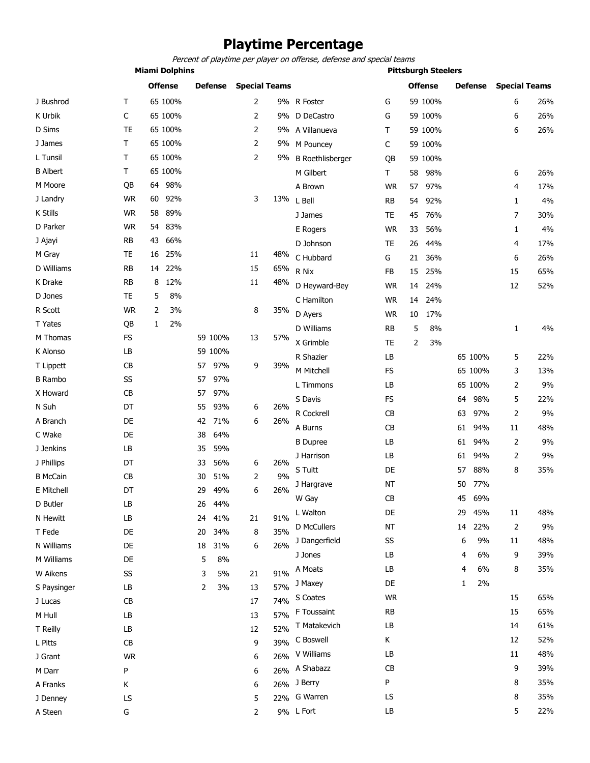## **Playtime Percentage**

*Percent of playtime per player on offense, defense and special teams*

|                 | <b>Miami Dolphins</b> |                |                |                      |     |                         | <b>Pittsburgh Steelers</b> |                |           |                      |     |
|-----------------|-----------------------|----------------|----------------|----------------------|-----|-------------------------|----------------------------|----------------|-----------|----------------------|-----|
|                 |                       | <b>Offense</b> | <b>Defense</b> | <b>Special Teams</b> |     |                         |                            | <b>Offense</b> | Defense   | <b>Special Teams</b> |     |
| J Bushrod       | Т                     | 65 100%        |                | 2                    |     | 9% R Foster             | G                          | 59 100%        |           | 6                    | 26% |
| K Urbik         | C                     | 65 100%        |                | 2                    |     | 9% D DeCastro           | G                          | 59 100%        |           | 6                    | 26% |
| D Sims          | <b>TE</b>             | 65 100%        |                | 2                    |     | 9% A Villanueva         | т                          | 59 100%        |           | 6                    | 26% |
| J James         | T                     | 65 100%        |                | 2                    | 9%  | M Pouncey               | C                          | 59 100%        |           |                      |     |
| L Tunsil        | Τ                     | 65 100%        |                | 2                    | 9%  | <b>B</b> Roethlisberger | QB                         | 59 100%        |           |                      |     |
| <b>B</b> Albert | т                     | 65 100%        |                |                      |     | M Gilbert               | $\mathsf T$                | 98%<br>58      |           | 6                    | 26% |
| M Moore         | QB                    | 98%<br>64      |                |                      |     | A Brown                 | <b>WR</b>                  | 97%<br>57      |           | 4                    | 17% |
| J Landry        | <b>WR</b>             | 92%<br>60      |                | 3                    | 13% | L Bell                  | <b>RB</b>                  | 54<br>92%      |           | 1                    | 4%  |
| K Stills        | <b>WR</b>             | 89%<br>58      |                |                      |     | J James                 | TE                         | 45<br>76%      |           | 7                    | 30% |
| D Parker        | <b>WR</b>             | 83%<br>54      |                |                      |     | E Rogers                | <b>WR</b>                  | 33<br>56%      |           | 1                    | 4%  |
| J Ajayi         | <b>RB</b>             | 66%<br>43      |                |                      |     | D Johnson               | TE                         | 44%<br>26      |           | 4                    | 17% |
| M Gray          | TE                    | 25%<br>16      |                | 11                   | 48% | C Hubbard               | G                          | 36%<br>21      |           | 6                    | 26% |
| D Williams      | <b>RB</b>             | 22%<br>14      |                | 15                   | 65% | R Nix                   | FB                         | 15<br>25%      |           | 15                   | 65% |
| K Drake         | <b>RB</b>             | 12%<br>8       |                | 11                   | 48% | D Heyward-Bey           | WR                         | 24%<br>14      |           | 12                   | 52% |
| D Jones         | <b>TE</b>             | 8%<br>5        |                |                      |     | C Hamilton              | <b>WR</b>                  | 24%<br>14      |           |                      |     |
| R Scott         | <b>WR</b>             | 2<br>3%        |                | 8                    | 35% | D Ayers                 | <b>WR</b>                  | 17%<br>10      |           |                      |     |
| T Yates         | QB                    | 2%<br>1        |                |                      |     | D Williams              | <b>RB</b>                  | 5<br>8%        |           | $\mathbf{1}$         | 4%  |
| M Thomas        | <b>FS</b>             |                | 59 100%        | 13                   | 57% | X Grimble               | TE                         | 2<br>3%        |           |                      |     |
| K Alonso        | LB                    |                | 59 100%        |                      |     | R Shazier               | LB                         |                | 65 100%   | 5                    | 22% |
| T Lippett       | <b>CB</b>             |                | 97%<br>57      | 9                    | 39% | M Mitchell              | FS                         |                | 65 100%   | 3                    | 13% |
| <b>B</b> Rambo  | SS                    |                | 97%<br>57      |                      |     | L Timmons               | LB                         |                | 65 100%   | 2                    | 9%  |
| X Howard        | <b>CB</b>             |                | 97%<br>57      |                      |     | S Davis                 | <b>FS</b>                  |                | 98%<br>64 | 5                    | 22% |
| N Suh           | DT                    |                | 93%<br>55      | 6                    | 26% | R Cockrell              | CB                         |                | 97%<br>63 | 2                    | 9%  |
| A Branch        | DE                    |                | 71%<br>42      | 6                    | 26% | A Burns                 | CB                         |                | 61<br>94% | 11                   | 48% |
| C Wake          | DE                    |                | 64%<br>38      |                      |     | <b>B</b> Dupree         | LB                         |                | 94%<br>61 | 2                    | 9%  |
| J Jenkins       | LB                    |                | 59%<br>35      |                      |     | J Harrison              | LB                         |                | 94%<br>61 | 2                    | 9%  |
| J Phillips      | DT                    |                | 56%<br>33      | 6                    | 26% | S Tuitt                 | DE                         |                | 88%<br>57 | 8                    | 35% |
| <b>B</b> McCain | <b>CB</b>             |                | 51%<br>30      | 2                    | 9%  | J Hargrave              | <b>NT</b>                  |                | 77%<br>50 |                      |     |
| E Mitchell      | DT                    |                | 49%<br>29      | 6                    | 26% | W Gay                   | CB                         |                | 45<br>69% |                      |     |
| D Butler        | LB                    |                | 44%<br>26      |                      |     | L Walton                | DE                         |                | 45%<br>29 | 11                   | 48% |
| N Hewitt        | LB                    |                | 24<br>41%      | 21                   | 91% | D McCullers             | NT                         |                | 22%<br>14 | 2                    | 9%  |
| T Fede          | DE                    |                | 34%<br>20      | 8                    | 35% | J Dangerfield           | SS                         |                | 9%<br>6   | 11                   | 48% |
| N Williams      | DE                    |                | 31%<br>18      | 6                    | 26% | J Jones                 | LB                         |                | 6%<br>4   | 9                    | 39% |
| M Williams      | DE                    |                | 5<br>8%        |                      |     | A Moats                 | LB                         |                | 6%<br>4   |                      | 35% |
| W Aikens        | SS                    |                | 5%<br>3        | 21                   | 91% |                         |                            |                |           | 8                    |     |
| S Paysinger     | LB                    |                | 2<br>3%        | 13                   | 57% | J Maxey                 | DE                         |                | 2%<br>1   |                      |     |
| J Lucas         | CB                    |                |                | 17                   | 74% | S Coates                | <b>WR</b>                  |                |           | 15                   | 65% |
| M Hull          | LB                    |                |                | 13                   | 57% | F Toussaint             | <b>RB</b>                  |                |           | 15                   | 65% |
| T Reilly        | LB                    |                |                | 12                   | 52% | T Matakevich            | LB                         |                |           | 14                   | 61% |
| L Pitts         | CB                    |                |                | 9                    | 39% | C Boswell               | К                          |                |           | 12                   | 52% |
| J Grant         | <b>WR</b>             |                |                | 6                    | 26% | V Williams              | LB                         |                |           | 11                   | 48% |
| M Darr          | P                     |                |                | 6                    |     | 26% A Shabazz           | CB                         |                |           | 9                    | 39% |

M Darr P 6 A Franks 6 J Denney LS 5 22%

A Steen G 2 9%

26% J Berry **P** 8 35% 22% G Warren 1987 LS 1988 15%

 $\blacksquare$  Fort  $\blacksquare$   $\blacksquare$   $\blacksquare$   $\blacksquare$   $\blacksquare$   $\blacksquare$   $\blacksquare$   $\blacksquare$   $\blacksquare$   $\blacksquare$   $\blacksquare$   $\blacksquare$   $\blacksquare$   $\blacksquare$   $\blacksquare$   $\blacksquare$   $\blacksquare$   $\blacksquare$   $\blacksquare$   $\blacksquare$   $\blacksquare$   $\blacksquare$   $\blacksquare$   $\blacksquare$   $\blacksquare$   $\blacksquare$   $\blacksquare$   $\blacksquare$   $\blacksquare$   $\blacksquare$